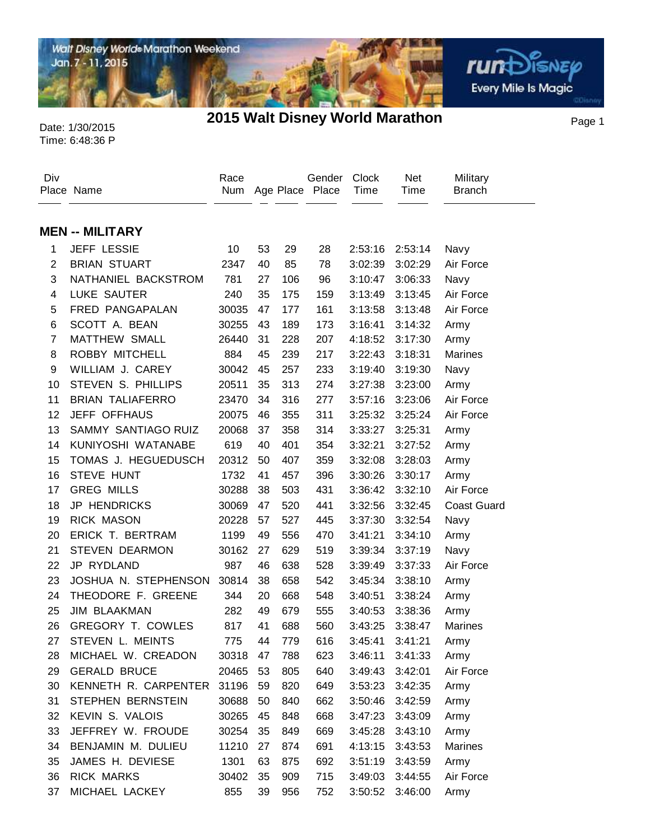

Date: 1/30/2015 **2015 Walt Disney World Marathon** Page 1

面

**rund** SISNEP Every Mile Is Magic

Time: 6:48:36 P

 $\overline{a}$ 

| Div            | Place Name               | Race<br>Num |    |     | Gender<br>Age Place Place | Clock<br>Time | <b>Net</b><br>Time | Military<br><b>Branch</b> |
|----------------|--------------------------|-------------|----|-----|---------------------------|---------------|--------------------|---------------------------|
|                |                          |             |    |     |                           |               |                    |                           |
|                | <b>MEN -- MILITARY</b>   |             |    |     |                           |               |                    |                           |
| 1              | JEFF LESSIE              | 10          | 53 | 29  | 28                        | 2:53:16       | 2:53:14            | Navy                      |
| $\overline{2}$ | <b>BRIAN STUART</b>      | 2347        | 40 | 85  | 78                        | 3:02:39       | 3:02:29            | Air Force                 |
| 3              | NATHANIEL BACKSTROM      | 781         | 27 | 106 | 96                        | 3:10:47       | 3:06:33            | Navy                      |
| 4              | <b>LUKE SAUTER</b>       | 240         | 35 | 175 | 159                       | 3:13:49       | 3:13:45            | Air Force                 |
| 5              | FRED PANGAPALAN          | 30035       | 47 | 177 | 161                       | 3:13:58       | 3:13:48            | Air Force                 |
| 6              | SCOTT A. BEAN            | 30255       | 43 | 189 | 173                       | 3:16:41       | 3:14:32            | Army                      |
| $\overline{7}$ | MATTHEW SMALL            | 26440       | 31 | 228 | 207                       | 4:18:52       | 3:17:30            | Army                      |
| 8              | ROBBY MITCHELL           | 884         | 45 | 239 | 217                       | 3:22:43       | 3:18:31            | <b>Marines</b>            |
| 9              | WILLIAM J. CAREY         | 30042       | 45 | 257 | 233                       | 3:19:40       | 3:19:30            | Navy                      |
| 10             | STEVEN S. PHILLIPS       | 20511       | 35 | 313 | 274                       | 3:27:38       | 3:23:00            | Army                      |
| 11             | <b>BRIAN TALIAFERRO</b>  | 23470       | 34 | 316 | 277                       | 3:57:16       | 3:23:06            | Air Force                 |
| 12             | JEFF OFFHAUS             | 20075       | 46 | 355 | 311                       | 3:25:32       | 3:25:24            | Air Force                 |
| 13             | SAMMY SANTIAGO RUIZ      | 20068       | 37 | 358 | 314                       | 3:33:27       | 3:25:31            | Army                      |
| 14             | KUNIYOSHI WATANABE       | 619         | 40 | 401 | 354                       | 3:32:21       | 3:27:52            | Army                      |
| 15             | TOMAS J. HEGUEDUSCH      | 20312       | 50 | 407 | 359                       | 3:32:08       | 3:28:03            | Army                      |
| 16             | STEVE HUNT               | 1732        | 41 | 457 | 396                       | 3:30:26       | 3:30:17            | Army                      |
| 17             | <b>GREG MILLS</b>        | 30288       | 38 | 503 | 431                       | 3:36:42       | 3:32:10            | Air Force                 |
| 18             | <b>JP HENDRICKS</b>      | 30069       | 47 | 520 | 441                       | 3:32:56       | 3:32:45            | <b>Coast Guard</b>        |
| 19             | <b>RICK MASON</b>        | 20228       | 57 | 527 | 445                       | 3:37:30       | 3:32:54            | Navy                      |
| 20             | ERICK T. BERTRAM         | 1199        | 49 | 556 | 470                       | 3:41:21       | 3:34:10            | Army                      |
| 21             | <b>STEVEN DEARMON</b>    | 30162       | 27 | 629 | 519                       | 3:39:34       | 3:37:19            | Navy                      |
| 22             | JP RYDLAND               | 987         | 46 | 638 | 528                       | 3:39:49       | 3:37:33            | Air Force                 |
| 23             | JOSHUA N. STEPHENSON     | 30814       | 38 | 658 | 542                       | 3:45:34       | 3:38:10            | Army                      |
| 24             | THEODORE F. GREENE       | 344         | 20 | 668 | 548                       | 3:40:51       | 3:38:24            | Army                      |
| 25             | <b>JIM BLAAKMAN</b>      | 282         | 49 | 679 | 555                       | 3:40:53       | 3:38:36            | Army                      |
| 26             | <b>GREGORY T. COWLES</b> | 817         | 41 | 688 | 560                       | 3:43:25       | 3:38:47            | <b>Marines</b>            |
| 27             | STEVEN L. MEINTS         | 775         | 44 | 779 | 616                       | 3:45:41       | 3:41:21            | Army                      |
| 28             | MICHAEL W. CREADON       | 30318       | 47 | 788 | 623                       | 3:46:11       | 3:41:33            | Army                      |
| 29             | <b>GERALD BRUCE</b>      | 20465       | 53 | 805 | 640                       | 3:49:43       | 3:42:01            | Air Force                 |
| 30             | KENNETH R. CARPENTER     | 31196       | 59 | 820 | 649                       |               | 3:53:23 3:42:35    | Army                      |
| 31             | STEPHEN BERNSTEIN        | 30688       | 50 | 840 | 662                       | 3:50:46       | 3:42:59            | Army                      |
| 32             | KEVIN S. VALOIS          | 30265       | 45 | 848 | 668                       | 3:47:23       | 3:43:09            | Army                      |
| 33             | JEFFREY W. FROUDE        | 30254       | 35 | 849 | 669                       | 3:45:28       | 3:43:10            | Army                      |
| 34             | BENJAMIN M. DULIEU       | 11210       | 27 | 874 | 691                       | 4:13:15       | 3:43:53            | Marines                   |
| 35             | JAMES H. DEVIESE         | 1301        | 63 | 875 | 692                       | 3:51:19       | 3:43:59            | Army                      |
| 36             | <b>RICK MARKS</b>        | 30402       | 35 | 909 | 715                       | 3:49:03       | 3:44:55            | Air Force                 |
| 37             | MICHAEL LACKEY           | 855         | 39 | 956 | 752                       |               | 3:50:52 3:46:00    | Army                      |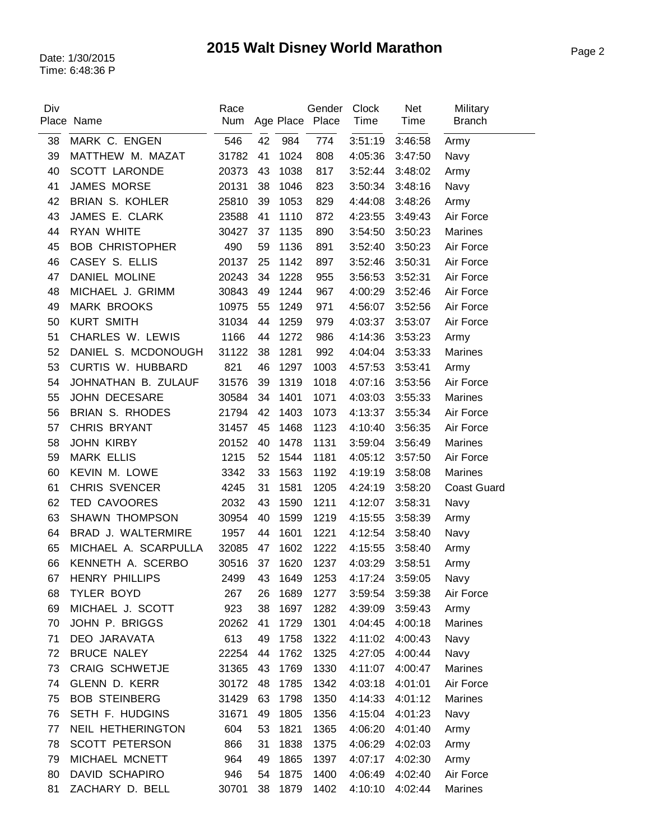| Div | Place Name               | Race<br>Num |    |         | Gender<br>Age Place Place | <b>Clock</b><br>Time | <b>Net</b><br>Time | Military<br><b>Branch</b> |
|-----|--------------------------|-------------|----|---------|---------------------------|----------------------|--------------------|---------------------------|
| 38  | MARK C. ENGEN            | 546         | 42 | 984     | 774                       | 3:51:19              | 3:46:58            | Army                      |
| 39  | MATTHEW M. MAZAT         | 31782       | 41 | 1024    | 808                       | 4:05:36              | 3:47:50            | Navy                      |
| 40  | <b>SCOTT LARONDE</b>     | 20373       | 43 | 1038    | 817                       | 3:52:44              | 3:48:02            | Army                      |
| 41  | <b>JAMES MORSE</b>       | 20131       | 38 | 1046    | 823                       | 3:50:34              | 3:48:16            | Navy                      |
| 42  | <b>BRIAN S. KOHLER</b>   | 25810       | 39 | 1053    | 829                       | 4:44:08              | 3:48:26            | Army                      |
| 43  | JAMES E. CLARK           | 23588       | 41 | 1110    | 872                       | 4:23:55              | 3:49:43            | Air Force                 |
| 44  | RYAN WHITE               | 30427       | 37 | 1135    | 890                       | 3:54:50              | 3:50:23            | Marines                   |
| 45  | <b>BOB CHRISTOPHER</b>   | 490         | 59 | 1136    | 891                       | 3:52:40              | 3:50:23            | Air Force                 |
| 46  | CASEY S. ELLIS           | 20137       | 25 | 1142    | 897                       | 3:52:46              | 3:50:31            | Air Force                 |
| 47  | DANIEL MOLINE            | 20243       | 34 | 1228    | 955                       | 3:56:53              | 3:52:31            | Air Force                 |
| 48  | MICHAEL J. GRIMM         | 30843       | 49 | 1244    | 967                       | 4:00:29              | 3:52:46            | Air Force                 |
| 49  | <b>MARK BROOKS</b>       | 10975       | 55 | 1249    | 971                       | 4:56:07              | 3:52:56            | Air Force                 |
| 50  | <b>KURT SMITH</b>        | 31034       | 44 | 1259    | 979                       | 4:03:37              | 3:53:07            | Air Force                 |
| 51  | CHARLES W. LEWIS         | 1166        | 44 | 1272    | 986                       | 4:14:36              | 3:53:23            | Army                      |
| 52  | DANIEL S. MCDONOUGH      | 31122       | 38 | 1281    | 992                       | 4:04:04              | 3:53:33            | Marines                   |
| 53  | <b>CURTIS W. HUBBARD</b> | 821         | 46 | 1297    | 1003                      | 4:57:53              | 3:53:41            | Army                      |
| 54  | JOHNATHAN B. ZULAUF      | 31576       | 39 | 1319    | 1018                      | 4:07:16              | 3:53:56            | Air Force                 |
| 55  | <b>JOHN DECESARE</b>     | 30584       | 34 | 1401    | 1071                      | 4:03:03              | 3:55:33            | Marines                   |
| 56  | <b>BRIAN S. RHODES</b>   | 21794       | 42 | 1403    | 1073                      | 4:13:37              | 3:55:34            | Air Force                 |
| 57  | CHRIS BRYANT             | 31457       | 45 | 1468    | 1123                      | 4:10:40              | 3:56:35            | Air Force                 |
| 58  | <b>JOHN KIRBY</b>        | 20152       | 40 | 1478    | 1131                      | 3:59:04              | 3:56:49            | <b>Marines</b>            |
| 59  | <b>MARK ELLIS</b>        | 1215        | 52 | 1544    | 1181                      | 4:05:12              | 3:57:50            | Air Force                 |
| 60  | KEVIN M. LOWE            | 3342        | 33 | 1563    | 1192                      | 4:19:19              | 3:58:08            | Marines                   |
| 61  | <b>CHRIS SVENCER</b>     | 4245        | 31 | 1581    | 1205                      | 4:24:19              | 3:58:20            | <b>Coast Guard</b>        |
| 62  | TED CAVOORES             | 2032        | 43 | 1590    | 1211                      | 4:12:07              | 3:58:31            | Navy                      |
| 63  | <b>SHAWN THOMPSON</b>    | 30954       | 40 | 1599    | 1219                      | 4:15:55              | 3:58:39            | Army                      |
| 64  | BRAD J. WALTERMIRE       | 1957        | 44 | 1601    | 1221                      | 4:12:54              | 3:58:40            | Navy                      |
| 65  | MICHAEL A. SCARPULLA     | 32085       | 47 | 1602    | 1222                      | 4:15:55              | 3:58:40            | Army                      |
| 66  | KENNETH A. SCERBO        | 30516       | 37 | 1620    | 1237                      | 4:03:29              | 3:58:51            | Army                      |
| 67  | <b>HENRY PHILLIPS</b>    | 2499        |    | 43 1649 | 1253                      | 4:17:24              | 3:59:05            | Navy                      |
| 68  | TYLER BOYD               | 267         | 26 | 1689    | 1277                      | 3:59:54              | 3:59:38            | Air Force                 |
| 69  | MICHAEL J. SCOTT         | 923         | 38 | 1697    | 1282                      | 4:39:09              | 3:59:43            | Army                      |
| 70  | JOHN P. BRIGGS           | 20262       | 41 | 1729    | 1301                      | 4:04:45              | 4:00:18            | Marines                   |
| 71  | DEO JARAVATA             | 613         | 49 | 1758    | 1322                      | 4:11:02              | 4:00:43            | Navy                      |
| 72  | BRUCE NALEY              | 22254       | 44 | 1762    | 1325                      | 4:27:05              | 4:00:44            | Navy                      |
| 73  | <b>CRAIG SCHWETJE</b>    | 31365       | 43 | 1769    | 1330                      | 4:11:07              | 4:00:47            | Marines                   |
| 74  | <b>GLENN D. KERR</b>     | 30172       | 48 | 1785    | 1342                      | 4:03:18              | 4:01:01            | Air Force                 |
| 75  | <b>BOB STEINBERG</b>     | 31429       | 63 | 1798    | 1350                      | 4:14:33              | 4:01:12            | Marines                   |
| 76  | SETH F. HUDGINS          | 31671       | 49 | 1805    | 1356                      | 4:15:04              | 4:01:23            | Navy                      |
| 77  | NEIL HETHERINGTON        | 604         | 53 | 1821    | 1365                      | 4:06:20              | 4:01:40            | Army                      |
| 78  | <b>SCOTT PETERSON</b>    | 866         | 31 | 1838    | 1375                      | 4:06:29              | 4:02:03            | Army                      |
| 79  | MICHAEL MCNETT           | 964         | 49 | 1865    | 1397                      | 4:07:17              | 4:02:30            | Army                      |
| 80  | DAVID SCHAPIRO           | 946         | 54 | 1875    | 1400                      | 4:06:49              | 4:02:40            | Air Force                 |
| 81  | ZACHARY D. BELL          | 30701       | 38 | 1879    | 1402                      | 4:10:10              | 4:02:44            | Marines                   |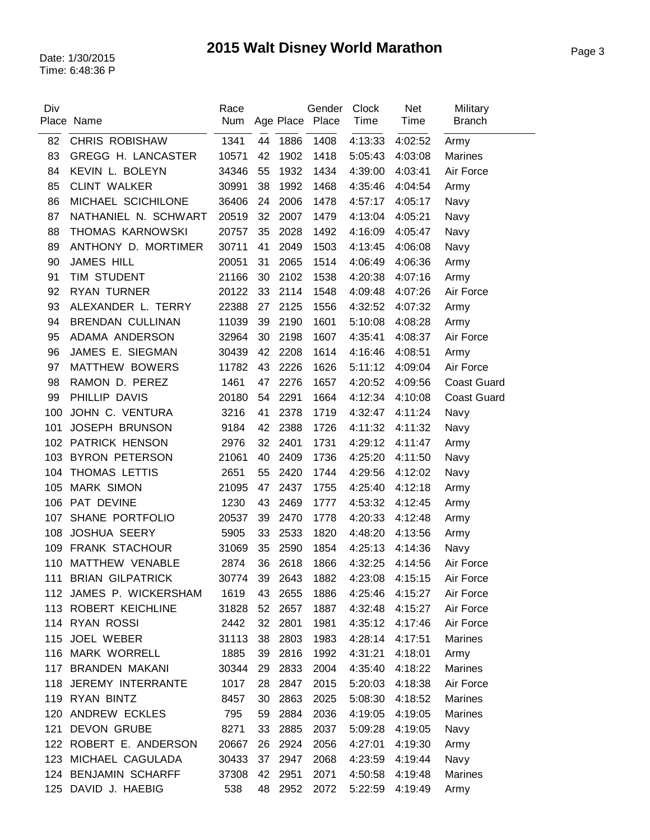| Div | Place Name              | Race<br>Num |    |         | Gender<br>Age Place Place | Clock<br>Time | <b>Net</b><br>Time | Military<br><b>Branch</b> |
|-----|-------------------------|-------------|----|---------|---------------------------|---------------|--------------------|---------------------------|
| 82  | <b>CHRIS ROBISHAW</b>   | 1341        | 44 | 1886    | 1408                      | 4:13:33       | 4:02:52            | Army                      |
| 83  | GREGG H. LANCASTER      | 10571       | 42 | 1902    | 1418                      | 5:05:43       | 4:03:08            | <b>Marines</b>            |
| 84  | KEVIN L. BOLEYN         | 34346       | 55 | 1932    | 1434                      | 4:39:00       | 4:03:41            | Air Force                 |
| 85  | <b>CLINT WALKER</b>     | 30991       | 38 | 1992    | 1468                      | 4:35:46       | 4:04:54            | Army                      |
| 86  | MICHAEL SCICHILONE      | 36406       | 24 | 2006    | 1478                      | 4:57:17       | 4:05:17            | Navy                      |
| 87  | NATHANIEL N. SCHWART    | 20519       | 32 | 2007    | 1479                      | 4:13:04       | 4:05:21            | Navy                      |
| 88  | THOMAS KARNOWSKI        | 20757       | 35 | 2028    | 1492                      | 4:16:09       | 4:05:47            | Navy                      |
| 89  | ANTHONY D. MORTIMER     | 30711       | 41 | 2049    | 1503                      | 4:13:45       | 4:06:08            | Navy                      |
| 90  | <b>JAMES HILL</b>       | 20051       | 31 | 2065    | 1514                      | 4:06:49       | 4:06:36            | Army                      |
| 91  | TIM STUDENT             | 21166       | 30 | 2102    | 1538                      | 4:20:38       | 4:07:16            | Army                      |
| 92  | <b>RYAN TURNER</b>      | 20122       | 33 | 2114    | 1548                      | 4:09:48       | 4:07:26            | Air Force                 |
| 93  | ALEXANDER L. TERRY      | 22388       | 27 | 2125    | 1556                      | 4:32:52       | 4:07:32            | Army                      |
| 94  | <b>BRENDAN CULLINAN</b> | 11039       | 39 | 2190    | 1601                      | 5:10:08       | 4:08:28            | Army                      |
| 95  | ADAMA ANDERSON          | 32964       | 30 | 2198    | 1607                      | 4:35:41       | 4:08:37            | Air Force                 |
| 96  | JAMES E. SIEGMAN        | 30439       | 42 | 2208    | 1614                      | 4:16:46       | 4:08:51            | Army                      |
| 97  | MATTHEW BOWERS          | 11782       | 43 | 2226    | 1626                      | 5:11:12       | 4:09:04            | Air Force                 |
| 98  | RAMON D. PEREZ          | 1461        | 47 | 2276    | 1657                      | 4:20:52       | 4:09:56            | <b>Coast Guard</b>        |
| 99  | PHILLIP DAVIS           | 20180       | 54 | 2291    | 1664                      | 4:12:34       | 4:10:08            | <b>Coast Guard</b>        |
| 100 | JOHN C. VENTURA         | 3216        | 41 | 2378    | 1719                      | 4:32:47       | 4:11:24            | Navy                      |
| 101 | <b>JOSEPH BRUNSON</b>   | 9184        | 42 | 2388    | 1726                      | 4:11:32       | 4:11:32            | Navy                      |
| 102 | PATRICK HENSON          | 2976        | 32 | 2401    | 1731                      | 4:29:12       | 4:11:47            | Army                      |
| 103 | <b>BYRON PETERSON</b>   | 21061       | 40 | 2409    | 1736                      | 4:25:20       | 4:11:50            | Navy                      |
| 104 | THOMAS LETTIS           | 2651        | 55 | 2420    | 1744                      | 4:29:56       | 4:12:02            | Navy                      |
| 105 | <b>MARK SIMON</b>       | 21095       | 47 | 2437    | 1755                      | 4:25:40       | 4:12:18            | Army                      |
| 106 | PAT DEVINE              | 1230        | 43 | 2469    | 1777                      | 4:53:32       | 4:12:45            | Army                      |
| 107 | SHANE PORTFOLIO         | 20537       | 39 | 2470    | 1778                      | 4:20:33       | 4:12:48            | Army                      |
| 108 | <b>JOSHUA SEERY</b>     | 5905        | 33 | 2533    | 1820                      | 4:48:20       | 4:13:56            | Army                      |
| 109 | <b>FRANK STACHOUR</b>   | 31069       | 35 | 2590    | 1854                      | 4:25:13       | 4:14:36            | Navy                      |
| 110 | MATTHEW VENABLE         | 2874        | 36 | 2618    | 1866                      | 4:32:25       | 4:14:56            | Air Force                 |
| 111 | <b>BRIAN GILPATRICK</b> | 30774       | 39 | 2643    | 1882                      |               | 4:23:08 4:15:15    | Air Force                 |
|     | 112 JAMES P. WICKERSHAM | 1619        | 43 | 2655    | 1886                      | 4:25:46       | 4:15:27            | Air Force                 |
|     | 113 ROBERT KEICHLINE    | 31828       | 52 | 2657    | 1887                      | 4:32:48       | 4:15:27            | Air Force                 |
|     | 114 RYAN ROSSI          | 2442        | 32 | 2801    | 1981                      | 4:35:12       | 4:17:46            | Air Force                 |
|     | 115 JOEL WEBER          | 31113       | 38 | 2803    | 1983                      | 4:28:14       | 4:17:51            | <b>Marines</b>            |
|     | 116 MARK WORRELL        | 1885        | 39 | 2816    | 1992                      | 4:31:21       | 4:18:01            | Army                      |
|     | 117 BRANDEN MAKANI      | 30344       | 29 | 2833    | 2004                      | 4:35:40       | 4:18:22            | <b>Marines</b>            |
|     | 118 JEREMY INTERRANTE   | 1017        | 28 | 2847    | 2015                      | 5:20:03       | 4:18:38            | Air Force                 |
|     | 119 RYAN BINTZ          | 8457        | 30 | 2863    | 2025                      | 5:08:30       | 4:18:52            | <b>Marines</b>            |
|     | 120 ANDREW ECKLES       | 795         | 59 | 2884    | 2036                      | 4:19:05       | 4:19:05            | <b>Marines</b>            |
| 121 | <b>DEVON GRUBE</b>      | 8271        | 33 | 2885    | 2037                      | 5:09:28       | 4:19:05            | Navy                      |
|     | 122 ROBERT E. ANDERSON  | 20667       | 26 | 2924    | 2056                      | 4:27:01       | 4:19:30            | Army                      |
| 123 | MICHAEL CAGULADA        | 30433       | 37 | 2947    | 2068                      | 4:23:59       | 4:19:44            | Navy                      |
|     | 124 BENJAMIN SCHARFF    | 37308       | 42 | 2951    | 2071                      | 4:50:58       | 4:19:48            | Marines                   |
|     | 125 DAVID J. HAEBIG     | 538         |    | 48 2952 | 2072                      | 5:22:59       | 4:19:49            | Army                      |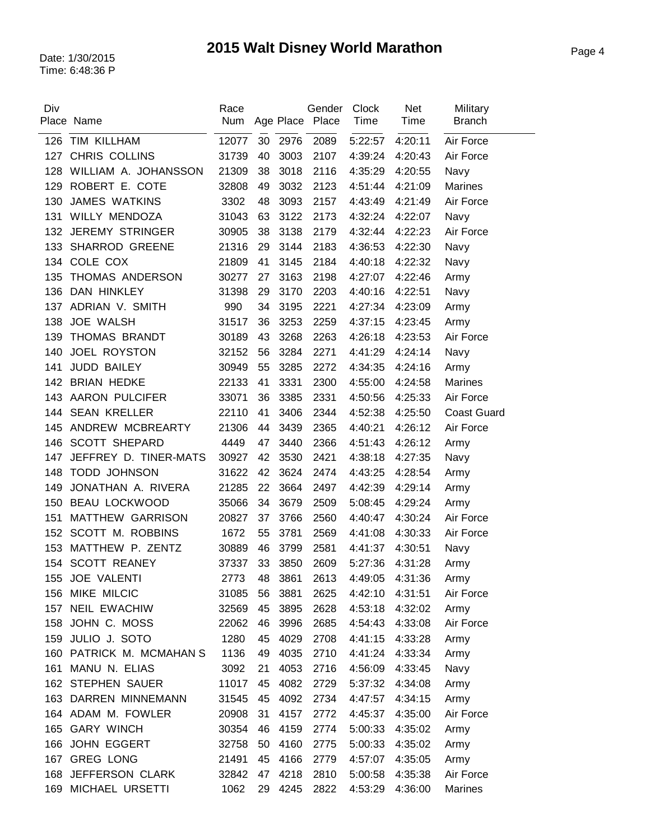| Div | Place Name               | Race<br>Num |    |         | Gender<br>Age Place Place | <b>Clock</b><br>Time | <b>Net</b><br>Time | Military<br><b>Branch</b> |
|-----|--------------------------|-------------|----|---------|---------------------------|----------------------|--------------------|---------------------------|
| 126 | TIM KILLHAM              | 12077       | 30 | 2976    | 2089                      | 5:22:57              | 4:20:11            | Air Force                 |
| 127 | CHRIS COLLINS            | 31739       | 40 | 3003    | 2107                      | 4:39:24              | 4:20:43            | Air Force                 |
| 128 | WILLIAM A. JOHANSSON     | 21309       | 38 | 3018    | 2116                      | 4:35:29              | 4:20:55            | Navy                      |
| 129 | ROBERT E. COTE           | 32808       | 49 | 3032    | 2123                      | 4:51:44              | 4:21:09            | Marines                   |
| 130 | <b>JAMES WATKINS</b>     | 3302        | 48 | 3093    | 2157                      | 4:43:49              | 4:21:49            | Air Force                 |
| 131 | WILLY MENDOZA            | 31043       | 63 | 3122    | 2173                      | 4:32:24              | 4:22:07            | Navy                      |
| 132 | <b>JEREMY STRINGER</b>   | 30905       | 38 | 3138    | 2179                      | 4:32:44              | 4:22:23            | Air Force                 |
| 133 | <b>SHARROD GREENE</b>    | 21316       | 29 | 3144    | 2183                      | 4:36:53              | 4:22:30            | Navy                      |
|     | 134 COLE COX             | 21809       | 41 | 3145    | 2184                      | 4:40:18              | 4:22:32            | Navy                      |
| 135 | THOMAS ANDERSON          | 30277       | 27 | 3163    | 2198                      | 4:27:07              | 4:22:46            | Army                      |
| 136 | DAN HINKLEY              | 31398       | 29 | 3170    | 2203                      | 4:40:16              | 4:22:51            | Navy                      |
| 137 | ADRIAN V. SMITH          | 990         | 34 | 3195    | 2221                      | 4:27:34              | 4:23:09            | Army                      |
| 138 | <b>JOE WALSH</b>         | 31517       | 36 | 3253    | 2259                      | 4:37:15              | 4:23:45            | Army                      |
| 139 | THOMAS BRANDT            | 30189       | 43 | 3268    | 2263                      | 4:26:18              | 4:23:53            | Air Force                 |
| 140 | <b>JOEL ROYSTON</b>      | 32152       | 56 | 3284    | 2271                      | 4:41:29              | 4:24:14            | Navy                      |
| 141 | JUDD BAILEY              | 30949       | 55 | 3285    | 2272                      | 4:34:35              | 4:24:16            | Army                      |
|     | 142 BRIAN HEDKE          | 22133       | 41 | 3331    | 2300                      | 4:55:00              | 4:24:58            | <b>Marines</b>            |
| 143 | <b>AARON PULCIFER</b>    | 33071       | 36 | 3385    | 2331                      | 4:50:56              | 4:25:33            | Air Force                 |
| 144 | <b>SEAN KRELLER</b>      | 22110       | 41 | 3406    | 2344                      | 4:52:38              | 4:25:50            | <b>Coast Guard</b>        |
| 145 | ANDREW MCBREARTY         | 21306       | 44 | 3439    | 2365                      | 4:40:21              | 4:26:12            | Air Force                 |
| 146 | <b>SCOTT SHEPARD</b>     | 4449        | 47 | 3440    | 2366                      | 4:51:43              | 4:26:12            | Army                      |
| 147 | JEFFREY D. TINER-MATS    | 30927       | 42 | 3530    | 2421                      | 4:38:18              | 4:27:35            | Navy                      |
| 148 | <b>TODD JOHNSON</b>      | 31622       | 42 | 3624    | 2474                      | 4:43:25              | 4:28:54            | Army                      |
| 149 | JONATHAN A. RIVERA       | 21285       | 22 | 3664    | 2497                      | 4:42:39              | 4:29:14            | Army                      |
| 150 | <b>BEAU LOCKWOOD</b>     | 35066       | 34 | 3679    | 2509                      | 5:08:45              | 4:29:24            | Army                      |
| 151 | <b>MATTHEW GARRISON</b>  | 20827       | 37 | 3766    | 2560                      | 4:40:47              | 4:30:24            | Air Force                 |
| 152 | SCOTT M. ROBBINS         | 1672        | 55 | 3781    | 2569                      | 4:41:08              | 4:30:33            | Air Force                 |
| 153 | MATTHEW P. ZENTZ         | 30889       | 46 | 3799    | 2581                      | 4:41:37              | 4:30:51            | Navy                      |
| 154 | <b>SCOTT REANEY</b>      | 37337       | 33 | 3850    | 2609                      | 5:27:36              | 4:31:28            | Army                      |
|     | 155 JOE VALENTI          | 2773        | 48 | 3861    |                           | 2613 4:49:05 4:31:36 |                    | Army                      |
|     | 156 MIKE MILCIC          | 31085       | 56 | 3881    | 2625                      | 4:42:10              | 4:31:51            | Air Force                 |
|     | 157 NEIL EWACHIW         | 32569       | 45 | 3895    | 2628                      | 4:53:18              | 4:32:02            | Army                      |
| 158 | JOHN C. MOSS             | 22062       | 46 | 3996    | 2685                      | 4:54:43              | 4:33:08            | Air Force                 |
| 159 | JULIO J. SOTO            | 1280        | 45 | 4029    | 2708                      | 4:41:15              | 4:33:28            | Army                      |
|     | 160 PATRICK M. MCMAHAN S | 1136        | 49 | 4035    | 2710                      | 4:41:24              | 4:33:34            | Army                      |
|     | 161 MANU N. ELIAS        | 3092        | 21 | 4053    | 2716                      | 4:56:09              | 4:33:45            | Navy                      |
|     | 162 STEPHEN SAUER        | 11017       | 45 | 4082    | 2729                      | 5:37:32              | 4:34:08            | Army                      |
|     | 163 DARREN MINNEMANN     | 31545       | 45 | 4092    | 2734                      | 4:47:57              | 4:34:15            | Army                      |
|     | 164 ADAM M. FOWLER       | 20908       | 31 | 4157    | 2772                      | 4:45:37              | 4:35:00            | Air Force                 |
|     | 165 GARY WINCH           | 30354       | 46 | 4159    | 2774                      | 5:00:33              | 4:35:02            | Army                      |
|     | 166 JOHN EGGERT          | 32758       | 50 | 4160    | 2775                      | 5:00:33              | 4:35:02            | Army                      |
|     | 167 GREG LONG            | 21491       | 45 | 4166    | 2779                      | 4:57:07              | 4:35:05            | Army                      |
| 168 | JEFFERSON CLARK          | 32842       | 47 | 4218    | 2810                      | 5:00:58              | 4:35:38            | Air Force                 |
|     | 169 MICHAEL URSETTI      | 1062        |    | 29 4245 | 2822                      | 4:53:29              | 4:36:00            | <b>Marines</b>            |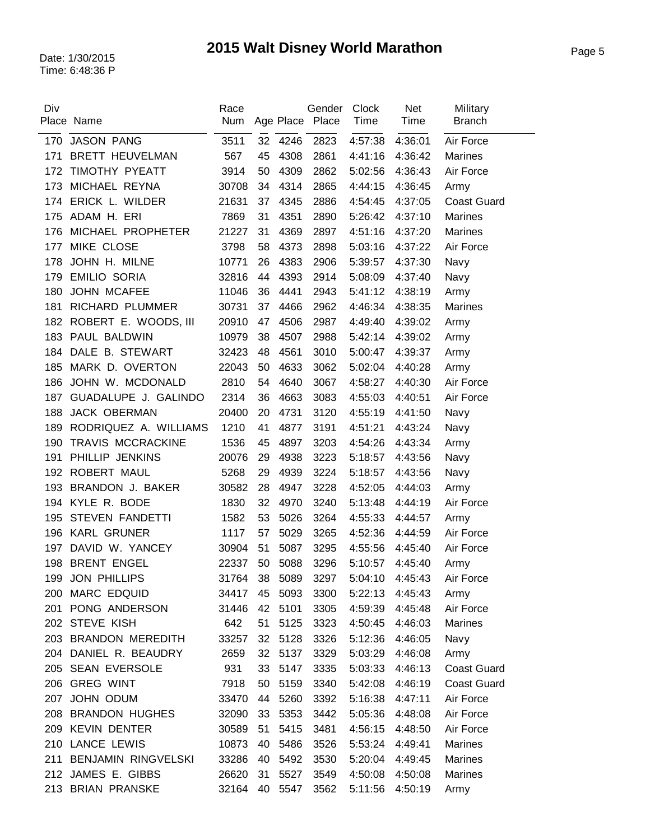| 170<br><b>JASON PANG</b><br>3511<br>32 4246<br>2823<br>Air Force<br>4:57:38<br>4:36:01<br><b>BRETT HEUVELMAN</b><br>171<br>567<br>45<br>4308<br>2861<br>4:41:16<br>4:36:42<br><b>Marines</b><br>TIMOTHY PYEATT<br>3914<br>50<br>4309<br>2862<br>5:02:56<br>4:36:43<br>Air Force<br>172<br>4314<br>173<br>MICHAEL REYNA<br>30708<br>34<br>2865<br>4:44:15<br>4:36:45<br>Army<br>ERICK L. WILDER<br>21631<br>37<br>4345<br>2886<br>4:37:05<br>174<br>4:54:45<br><b>Coast Guard</b><br>ADAM H. ERI<br>7869<br>31<br>4351<br>2890<br>175<br>5:26:42<br>4:37:10<br><b>Marines</b><br>MICHAEL PROPHETER<br>31<br>4369<br>21227<br>2897<br>4:51:16<br>4:37:20<br>Marines<br>176<br>MIKE CLOSE<br>177<br>3798<br>58<br>4373<br>2898<br>5:03:16<br>4:37:22<br>Air Force<br>JOHN H. MILNE<br>4383<br>10771<br>26<br>2906<br>178<br>5:39:57<br>4:37:30<br>Navy<br><b>EMILIO SORIA</b><br>4393<br>179<br>32816<br>44<br>2914<br>5:08:09<br>4:37:40<br>Navy<br>JOHN MCAFEE<br>180<br>11046<br>36<br>4441<br>2943<br>5:41:12<br>4:38:19<br>Army<br><b>RICHARD PLUMMER</b><br>30731<br>37<br>4466<br>2962<br>4:46:34<br>181<br>4:38:35<br><b>Marines</b><br>ROBERT E. WOODS, III<br>20910<br>47<br>4506<br>2987<br>4:49:40<br>4:39:02<br>182<br>Army<br>PAUL BALDWIN<br>4507<br>183<br>10979<br>38<br>2988<br>5:42:14<br>4:39:02<br>Army<br>184 DALE B. STEWART<br>4561<br>3010<br>32423<br>48<br>5:00:47<br>4:39:37<br>Army<br>MARK D. OVERTON<br>4633<br>22043<br>50<br>3062<br>5:02:04<br>4:40:28<br>185<br>Army<br>JOHN W. MCDONALD<br>4640<br>2810<br>54<br>3067<br>Air Force<br>186<br>4:58:27<br>4:40:30<br>GUADALUPE J. GALINDO<br>187<br>2314<br>36<br>4663<br>3083<br>4:55:03<br>4:40:51<br>Air Force<br><b>JACK OBERMAN</b><br>188<br>20400<br>20<br>4731<br>3120<br>4:55:19<br>4:41:50<br>Navy<br>4877<br>3191<br>RODRIQUEZ A. WILLIAMS<br>1210<br>41<br>4:43:24<br>189<br>4:51:21<br>Navy<br><b>TRAVIS MCCRACKINE</b><br>4897<br>190<br>1536<br>45<br>3203<br>4:43:34<br>4:54:26<br>Army<br>PHILLIP JENKINS<br>20076<br>29<br>4938<br>3223<br>191<br>5:18:57<br>4:43:56<br>Navy<br>ROBERT MAUL<br>5268<br>29<br>4939<br>3224<br>192<br>5:18:57<br>4:43:56<br>Navy<br>193<br>BRANDON J. BAKER<br>30582<br>28<br>4947<br>3228<br>4:52:05<br>4:44:03<br>Army<br>194 KYLE R. BODE<br>1830<br>32<br>4970<br>3240<br>Air Force<br>5:13:48<br>4:44:19<br><b>STEVEN FANDETTI</b><br>5026<br>1582<br>53<br>3264<br>4:55:33<br>195<br>4:44:57<br>Army<br>196 KARL GRUNER<br>1117<br>57<br>5029<br>3265<br>Air Force<br>4:52:36<br>4:44:59<br>DAVID W. YANCEY<br>51<br>5087<br>3295<br>197<br>30904<br>4:55:56<br>4:45:40<br>Air Force<br><b>BRENT ENGEL</b><br>50<br>5088<br>3296<br>198<br>22337<br>5:10:57<br>4:45:40<br>Army<br>199 JON PHILLIPS<br>31764<br>38 5089<br>3297<br>5:04:10 4:45:43<br>Air Force<br>200 MARC EDQUID<br>5093<br>3300<br>34417<br>45<br>5:22:13<br>4:45:43<br>Army<br>PONG ANDERSON<br>5101<br>31446<br>42<br>3305<br>Air Force<br>201<br>4:59:39<br>4:45:48<br>202 STEVE KISH<br>642<br>51<br>5125<br>3323<br>4:46:03<br>4:50:45<br><b>Marines</b><br>203 BRANDON MEREDITH<br>33257<br>32<br>5128<br>3326<br>5:12:36<br>4:46:05<br>Navy<br>204 DANIEL R. BEAUDRY<br>5137<br>2659<br>32<br>3329<br>5:03:29<br>4:46:08<br>Army<br>205 SEAN EVERSOLE<br>931<br>33<br>5147<br>3335<br>5:03:33<br>4:46:13<br><b>Coast Guard</b><br>206 GREG WINT<br>7918<br>50<br>5159<br>3340<br>5:42:08<br>4:46:19<br><b>Coast Guard</b><br>JOHN ODUM<br>207<br>33470<br>44<br>5260<br>3392<br>5:16:38<br>4:47:11<br>Air Force<br>208 BRANDON HUGHES<br>32090<br>33<br>5353<br>3442<br>4:48:08<br>Air Force<br>5:05:36<br>209 KEVIN DENTER<br>30589<br>51<br>5415<br>3481<br>4:56:15<br>4:48:50<br>Air Force<br>210 LANCE LEWIS<br>10873<br>40<br>5486<br>3526<br>5:53:24 4:49:41<br>Marines<br>BENJAMIN RINGVELSKI<br>3530<br>211<br>33286<br>40<br>5492<br>5:20:04<br>4:49:45<br>Marines<br>212 JAMES E. GIBBS<br>26620<br>5527<br>3549<br>4:50:08<br>4:50:08<br>Marines<br>31<br>213 BRIAN PRANSKE | Div | Place Name | Race<br>Num |    |      | Gender<br>Age Place Place | Clock<br>Time | <b>Net</b><br>Time | Military<br><b>Branch</b> |
|------------------------------------------------------------------------------------------------------------------------------------------------------------------------------------------------------------------------------------------------------------------------------------------------------------------------------------------------------------------------------------------------------------------------------------------------------------------------------------------------------------------------------------------------------------------------------------------------------------------------------------------------------------------------------------------------------------------------------------------------------------------------------------------------------------------------------------------------------------------------------------------------------------------------------------------------------------------------------------------------------------------------------------------------------------------------------------------------------------------------------------------------------------------------------------------------------------------------------------------------------------------------------------------------------------------------------------------------------------------------------------------------------------------------------------------------------------------------------------------------------------------------------------------------------------------------------------------------------------------------------------------------------------------------------------------------------------------------------------------------------------------------------------------------------------------------------------------------------------------------------------------------------------------------------------------------------------------------------------------------------------------------------------------------------------------------------------------------------------------------------------------------------------------------------------------------------------------------------------------------------------------------------------------------------------------------------------------------------------------------------------------------------------------------------------------------------------------------------------------------------------------------------------------------------------------------------------------------------------------------------------------------------------------------------------------------------------------------------------------------------------------------------------------------------------------------------------------------------------------------------------------------------------------------------------------------------------------------------------------------------------------------------------------------------------------------------------------------------------------------------------------------------------------------------------------------------------------------------------------------------------------------------------------------------------------------------------------------------------------------------------------------------------------------------------------------------------------------------------------------------------------------------------------------------------------------------------------------------------------------------------------------------------------------------------------------------------------------------------------------------------------------------------------------------------------------------------------------------------------------------------------------------------------------------------------------------------------------------------------------------|-----|------------|-------------|----|------|---------------------------|---------------|--------------------|---------------------------|
|                                                                                                                                                                                                                                                                                                                                                                                                                                                                                                                                                                                                                                                                                                                                                                                                                                                                                                                                                                                                                                                                                                                                                                                                                                                                                                                                                                                                                                                                                                                                                                                                                                                                                                                                                                                                                                                                                                                                                                                                                                                                                                                                                                                                                                                                                                                                                                                                                                                                                                                                                                                                                                                                                                                                                                                                                                                                                                                                                                                                                                                                                                                                                                                                                                                                                                                                                                                                                                                                                                                                                                                                                                                                                                                                                                                                                                                                                                                                                                                                      |     |            |             |    |      |                           |               |                    |                           |
|                                                                                                                                                                                                                                                                                                                                                                                                                                                                                                                                                                                                                                                                                                                                                                                                                                                                                                                                                                                                                                                                                                                                                                                                                                                                                                                                                                                                                                                                                                                                                                                                                                                                                                                                                                                                                                                                                                                                                                                                                                                                                                                                                                                                                                                                                                                                                                                                                                                                                                                                                                                                                                                                                                                                                                                                                                                                                                                                                                                                                                                                                                                                                                                                                                                                                                                                                                                                                                                                                                                                                                                                                                                                                                                                                                                                                                                                                                                                                                                                      |     |            |             |    |      |                           |               |                    |                           |
|                                                                                                                                                                                                                                                                                                                                                                                                                                                                                                                                                                                                                                                                                                                                                                                                                                                                                                                                                                                                                                                                                                                                                                                                                                                                                                                                                                                                                                                                                                                                                                                                                                                                                                                                                                                                                                                                                                                                                                                                                                                                                                                                                                                                                                                                                                                                                                                                                                                                                                                                                                                                                                                                                                                                                                                                                                                                                                                                                                                                                                                                                                                                                                                                                                                                                                                                                                                                                                                                                                                                                                                                                                                                                                                                                                                                                                                                                                                                                                                                      |     |            |             |    |      |                           |               |                    |                           |
|                                                                                                                                                                                                                                                                                                                                                                                                                                                                                                                                                                                                                                                                                                                                                                                                                                                                                                                                                                                                                                                                                                                                                                                                                                                                                                                                                                                                                                                                                                                                                                                                                                                                                                                                                                                                                                                                                                                                                                                                                                                                                                                                                                                                                                                                                                                                                                                                                                                                                                                                                                                                                                                                                                                                                                                                                                                                                                                                                                                                                                                                                                                                                                                                                                                                                                                                                                                                                                                                                                                                                                                                                                                                                                                                                                                                                                                                                                                                                                                                      |     |            |             |    |      |                           |               |                    |                           |
|                                                                                                                                                                                                                                                                                                                                                                                                                                                                                                                                                                                                                                                                                                                                                                                                                                                                                                                                                                                                                                                                                                                                                                                                                                                                                                                                                                                                                                                                                                                                                                                                                                                                                                                                                                                                                                                                                                                                                                                                                                                                                                                                                                                                                                                                                                                                                                                                                                                                                                                                                                                                                                                                                                                                                                                                                                                                                                                                                                                                                                                                                                                                                                                                                                                                                                                                                                                                                                                                                                                                                                                                                                                                                                                                                                                                                                                                                                                                                                                                      |     |            |             |    |      |                           |               |                    |                           |
|                                                                                                                                                                                                                                                                                                                                                                                                                                                                                                                                                                                                                                                                                                                                                                                                                                                                                                                                                                                                                                                                                                                                                                                                                                                                                                                                                                                                                                                                                                                                                                                                                                                                                                                                                                                                                                                                                                                                                                                                                                                                                                                                                                                                                                                                                                                                                                                                                                                                                                                                                                                                                                                                                                                                                                                                                                                                                                                                                                                                                                                                                                                                                                                                                                                                                                                                                                                                                                                                                                                                                                                                                                                                                                                                                                                                                                                                                                                                                                                                      |     |            |             |    |      |                           |               |                    |                           |
|                                                                                                                                                                                                                                                                                                                                                                                                                                                                                                                                                                                                                                                                                                                                                                                                                                                                                                                                                                                                                                                                                                                                                                                                                                                                                                                                                                                                                                                                                                                                                                                                                                                                                                                                                                                                                                                                                                                                                                                                                                                                                                                                                                                                                                                                                                                                                                                                                                                                                                                                                                                                                                                                                                                                                                                                                                                                                                                                                                                                                                                                                                                                                                                                                                                                                                                                                                                                                                                                                                                                                                                                                                                                                                                                                                                                                                                                                                                                                                                                      |     |            |             |    |      |                           |               |                    |                           |
|                                                                                                                                                                                                                                                                                                                                                                                                                                                                                                                                                                                                                                                                                                                                                                                                                                                                                                                                                                                                                                                                                                                                                                                                                                                                                                                                                                                                                                                                                                                                                                                                                                                                                                                                                                                                                                                                                                                                                                                                                                                                                                                                                                                                                                                                                                                                                                                                                                                                                                                                                                                                                                                                                                                                                                                                                                                                                                                                                                                                                                                                                                                                                                                                                                                                                                                                                                                                                                                                                                                                                                                                                                                                                                                                                                                                                                                                                                                                                                                                      |     |            |             |    |      |                           |               |                    |                           |
|                                                                                                                                                                                                                                                                                                                                                                                                                                                                                                                                                                                                                                                                                                                                                                                                                                                                                                                                                                                                                                                                                                                                                                                                                                                                                                                                                                                                                                                                                                                                                                                                                                                                                                                                                                                                                                                                                                                                                                                                                                                                                                                                                                                                                                                                                                                                                                                                                                                                                                                                                                                                                                                                                                                                                                                                                                                                                                                                                                                                                                                                                                                                                                                                                                                                                                                                                                                                                                                                                                                                                                                                                                                                                                                                                                                                                                                                                                                                                                                                      |     |            |             |    |      |                           |               |                    |                           |
|                                                                                                                                                                                                                                                                                                                                                                                                                                                                                                                                                                                                                                                                                                                                                                                                                                                                                                                                                                                                                                                                                                                                                                                                                                                                                                                                                                                                                                                                                                                                                                                                                                                                                                                                                                                                                                                                                                                                                                                                                                                                                                                                                                                                                                                                                                                                                                                                                                                                                                                                                                                                                                                                                                                                                                                                                                                                                                                                                                                                                                                                                                                                                                                                                                                                                                                                                                                                                                                                                                                                                                                                                                                                                                                                                                                                                                                                                                                                                                                                      |     |            |             |    |      |                           |               |                    |                           |
|                                                                                                                                                                                                                                                                                                                                                                                                                                                                                                                                                                                                                                                                                                                                                                                                                                                                                                                                                                                                                                                                                                                                                                                                                                                                                                                                                                                                                                                                                                                                                                                                                                                                                                                                                                                                                                                                                                                                                                                                                                                                                                                                                                                                                                                                                                                                                                                                                                                                                                                                                                                                                                                                                                                                                                                                                                                                                                                                                                                                                                                                                                                                                                                                                                                                                                                                                                                                                                                                                                                                                                                                                                                                                                                                                                                                                                                                                                                                                                                                      |     |            |             |    |      |                           |               |                    |                           |
|                                                                                                                                                                                                                                                                                                                                                                                                                                                                                                                                                                                                                                                                                                                                                                                                                                                                                                                                                                                                                                                                                                                                                                                                                                                                                                                                                                                                                                                                                                                                                                                                                                                                                                                                                                                                                                                                                                                                                                                                                                                                                                                                                                                                                                                                                                                                                                                                                                                                                                                                                                                                                                                                                                                                                                                                                                                                                                                                                                                                                                                                                                                                                                                                                                                                                                                                                                                                                                                                                                                                                                                                                                                                                                                                                                                                                                                                                                                                                                                                      |     |            |             |    |      |                           |               |                    |                           |
|                                                                                                                                                                                                                                                                                                                                                                                                                                                                                                                                                                                                                                                                                                                                                                                                                                                                                                                                                                                                                                                                                                                                                                                                                                                                                                                                                                                                                                                                                                                                                                                                                                                                                                                                                                                                                                                                                                                                                                                                                                                                                                                                                                                                                                                                                                                                                                                                                                                                                                                                                                                                                                                                                                                                                                                                                                                                                                                                                                                                                                                                                                                                                                                                                                                                                                                                                                                                                                                                                                                                                                                                                                                                                                                                                                                                                                                                                                                                                                                                      |     |            |             |    |      |                           |               |                    |                           |
|                                                                                                                                                                                                                                                                                                                                                                                                                                                                                                                                                                                                                                                                                                                                                                                                                                                                                                                                                                                                                                                                                                                                                                                                                                                                                                                                                                                                                                                                                                                                                                                                                                                                                                                                                                                                                                                                                                                                                                                                                                                                                                                                                                                                                                                                                                                                                                                                                                                                                                                                                                                                                                                                                                                                                                                                                                                                                                                                                                                                                                                                                                                                                                                                                                                                                                                                                                                                                                                                                                                                                                                                                                                                                                                                                                                                                                                                                                                                                                                                      |     |            |             |    |      |                           |               |                    |                           |
|                                                                                                                                                                                                                                                                                                                                                                                                                                                                                                                                                                                                                                                                                                                                                                                                                                                                                                                                                                                                                                                                                                                                                                                                                                                                                                                                                                                                                                                                                                                                                                                                                                                                                                                                                                                                                                                                                                                                                                                                                                                                                                                                                                                                                                                                                                                                                                                                                                                                                                                                                                                                                                                                                                                                                                                                                                                                                                                                                                                                                                                                                                                                                                                                                                                                                                                                                                                                                                                                                                                                                                                                                                                                                                                                                                                                                                                                                                                                                                                                      |     |            |             |    |      |                           |               |                    |                           |
|                                                                                                                                                                                                                                                                                                                                                                                                                                                                                                                                                                                                                                                                                                                                                                                                                                                                                                                                                                                                                                                                                                                                                                                                                                                                                                                                                                                                                                                                                                                                                                                                                                                                                                                                                                                                                                                                                                                                                                                                                                                                                                                                                                                                                                                                                                                                                                                                                                                                                                                                                                                                                                                                                                                                                                                                                                                                                                                                                                                                                                                                                                                                                                                                                                                                                                                                                                                                                                                                                                                                                                                                                                                                                                                                                                                                                                                                                                                                                                                                      |     |            |             |    |      |                           |               |                    |                           |
|                                                                                                                                                                                                                                                                                                                                                                                                                                                                                                                                                                                                                                                                                                                                                                                                                                                                                                                                                                                                                                                                                                                                                                                                                                                                                                                                                                                                                                                                                                                                                                                                                                                                                                                                                                                                                                                                                                                                                                                                                                                                                                                                                                                                                                                                                                                                                                                                                                                                                                                                                                                                                                                                                                                                                                                                                                                                                                                                                                                                                                                                                                                                                                                                                                                                                                                                                                                                                                                                                                                                                                                                                                                                                                                                                                                                                                                                                                                                                                                                      |     |            |             |    |      |                           |               |                    |                           |
|                                                                                                                                                                                                                                                                                                                                                                                                                                                                                                                                                                                                                                                                                                                                                                                                                                                                                                                                                                                                                                                                                                                                                                                                                                                                                                                                                                                                                                                                                                                                                                                                                                                                                                                                                                                                                                                                                                                                                                                                                                                                                                                                                                                                                                                                                                                                                                                                                                                                                                                                                                                                                                                                                                                                                                                                                                                                                                                                                                                                                                                                                                                                                                                                                                                                                                                                                                                                                                                                                                                                                                                                                                                                                                                                                                                                                                                                                                                                                                                                      |     |            |             |    |      |                           |               |                    |                           |
|                                                                                                                                                                                                                                                                                                                                                                                                                                                                                                                                                                                                                                                                                                                                                                                                                                                                                                                                                                                                                                                                                                                                                                                                                                                                                                                                                                                                                                                                                                                                                                                                                                                                                                                                                                                                                                                                                                                                                                                                                                                                                                                                                                                                                                                                                                                                                                                                                                                                                                                                                                                                                                                                                                                                                                                                                                                                                                                                                                                                                                                                                                                                                                                                                                                                                                                                                                                                                                                                                                                                                                                                                                                                                                                                                                                                                                                                                                                                                                                                      |     |            |             |    |      |                           |               |                    |                           |
|                                                                                                                                                                                                                                                                                                                                                                                                                                                                                                                                                                                                                                                                                                                                                                                                                                                                                                                                                                                                                                                                                                                                                                                                                                                                                                                                                                                                                                                                                                                                                                                                                                                                                                                                                                                                                                                                                                                                                                                                                                                                                                                                                                                                                                                                                                                                                                                                                                                                                                                                                                                                                                                                                                                                                                                                                                                                                                                                                                                                                                                                                                                                                                                                                                                                                                                                                                                                                                                                                                                                                                                                                                                                                                                                                                                                                                                                                                                                                                                                      |     |            |             |    |      |                           |               |                    |                           |
|                                                                                                                                                                                                                                                                                                                                                                                                                                                                                                                                                                                                                                                                                                                                                                                                                                                                                                                                                                                                                                                                                                                                                                                                                                                                                                                                                                                                                                                                                                                                                                                                                                                                                                                                                                                                                                                                                                                                                                                                                                                                                                                                                                                                                                                                                                                                                                                                                                                                                                                                                                                                                                                                                                                                                                                                                                                                                                                                                                                                                                                                                                                                                                                                                                                                                                                                                                                                                                                                                                                                                                                                                                                                                                                                                                                                                                                                                                                                                                                                      |     |            |             |    |      |                           |               |                    |                           |
|                                                                                                                                                                                                                                                                                                                                                                                                                                                                                                                                                                                                                                                                                                                                                                                                                                                                                                                                                                                                                                                                                                                                                                                                                                                                                                                                                                                                                                                                                                                                                                                                                                                                                                                                                                                                                                                                                                                                                                                                                                                                                                                                                                                                                                                                                                                                                                                                                                                                                                                                                                                                                                                                                                                                                                                                                                                                                                                                                                                                                                                                                                                                                                                                                                                                                                                                                                                                                                                                                                                                                                                                                                                                                                                                                                                                                                                                                                                                                                                                      |     |            |             |    |      |                           |               |                    |                           |
|                                                                                                                                                                                                                                                                                                                                                                                                                                                                                                                                                                                                                                                                                                                                                                                                                                                                                                                                                                                                                                                                                                                                                                                                                                                                                                                                                                                                                                                                                                                                                                                                                                                                                                                                                                                                                                                                                                                                                                                                                                                                                                                                                                                                                                                                                                                                                                                                                                                                                                                                                                                                                                                                                                                                                                                                                                                                                                                                                                                                                                                                                                                                                                                                                                                                                                                                                                                                                                                                                                                                                                                                                                                                                                                                                                                                                                                                                                                                                                                                      |     |            |             |    |      |                           |               |                    |                           |
|                                                                                                                                                                                                                                                                                                                                                                                                                                                                                                                                                                                                                                                                                                                                                                                                                                                                                                                                                                                                                                                                                                                                                                                                                                                                                                                                                                                                                                                                                                                                                                                                                                                                                                                                                                                                                                                                                                                                                                                                                                                                                                                                                                                                                                                                                                                                                                                                                                                                                                                                                                                                                                                                                                                                                                                                                                                                                                                                                                                                                                                                                                                                                                                                                                                                                                                                                                                                                                                                                                                                                                                                                                                                                                                                                                                                                                                                                                                                                                                                      |     |            |             |    |      |                           |               |                    |                           |
|                                                                                                                                                                                                                                                                                                                                                                                                                                                                                                                                                                                                                                                                                                                                                                                                                                                                                                                                                                                                                                                                                                                                                                                                                                                                                                                                                                                                                                                                                                                                                                                                                                                                                                                                                                                                                                                                                                                                                                                                                                                                                                                                                                                                                                                                                                                                                                                                                                                                                                                                                                                                                                                                                                                                                                                                                                                                                                                                                                                                                                                                                                                                                                                                                                                                                                                                                                                                                                                                                                                                                                                                                                                                                                                                                                                                                                                                                                                                                                                                      |     |            |             |    |      |                           |               |                    |                           |
|                                                                                                                                                                                                                                                                                                                                                                                                                                                                                                                                                                                                                                                                                                                                                                                                                                                                                                                                                                                                                                                                                                                                                                                                                                                                                                                                                                                                                                                                                                                                                                                                                                                                                                                                                                                                                                                                                                                                                                                                                                                                                                                                                                                                                                                                                                                                                                                                                                                                                                                                                                                                                                                                                                                                                                                                                                                                                                                                                                                                                                                                                                                                                                                                                                                                                                                                                                                                                                                                                                                                                                                                                                                                                                                                                                                                                                                                                                                                                                                                      |     |            |             |    |      |                           |               |                    |                           |
|                                                                                                                                                                                                                                                                                                                                                                                                                                                                                                                                                                                                                                                                                                                                                                                                                                                                                                                                                                                                                                                                                                                                                                                                                                                                                                                                                                                                                                                                                                                                                                                                                                                                                                                                                                                                                                                                                                                                                                                                                                                                                                                                                                                                                                                                                                                                                                                                                                                                                                                                                                                                                                                                                                                                                                                                                                                                                                                                                                                                                                                                                                                                                                                                                                                                                                                                                                                                                                                                                                                                                                                                                                                                                                                                                                                                                                                                                                                                                                                                      |     |            |             |    |      |                           |               |                    |                           |
|                                                                                                                                                                                                                                                                                                                                                                                                                                                                                                                                                                                                                                                                                                                                                                                                                                                                                                                                                                                                                                                                                                                                                                                                                                                                                                                                                                                                                                                                                                                                                                                                                                                                                                                                                                                                                                                                                                                                                                                                                                                                                                                                                                                                                                                                                                                                                                                                                                                                                                                                                                                                                                                                                                                                                                                                                                                                                                                                                                                                                                                                                                                                                                                                                                                                                                                                                                                                                                                                                                                                                                                                                                                                                                                                                                                                                                                                                                                                                                                                      |     |            |             |    |      |                           |               |                    |                           |
|                                                                                                                                                                                                                                                                                                                                                                                                                                                                                                                                                                                                                                                                                                                                                                                                                                                                                                                                                                                                                                                                                                                                                                                                                                                                                                                                                                                                                                                                                                                                                                                                                                                                                                                                                                                                                                                                                                                                                                                                                                                                                                                                                                                                                                                                                                                                                                                                                                                                                                                                                                                                                                                                                                                                                                                                                                                                                                                                                                                                                                                                                                                                                                                                                                                                                                                                                                                                                                                                                                                                                                                                                                                                                                                                                                                                                                                                                                                                                                                                      |     |            |             |    |      |                           |               |                    |                           |
|                                                                                                                                                                                                                                                                                                                                                                                                                                                                                                                                                                                                                                                                                                                                                                                                                                                                                                                                                                                                                                                                                                                                                                                                                                                                                                                                                                                                                                                                                                                                                                                                                                                                                                                                                                                                                                                                                                                                                                                                                                                                                                                                                                                                                                                                                                                                                                                                                                                                                                                                                                                                                                                                                                                                                                                                                                                                                                                                                                                                                                                                                                                                                                                                                                                                                                                                                                                                                                                                                                                                                                                                                                                                                                                                                                                                                                                                                                                                                                                                      |     |            |             |    |      |                           |               |                    |                           |
|                                                                                                                                                                                                                                                                                                                                                                                                                                                                                                                                                                                                                                                                                                                                                                                                                                                                                                                                                                                                                                                                                                                                                                                                                                                                                                                                                                                                                                                                                                                                                                                                                                                                                                                                                                                                                                                                                                                                                                                                                                                                                                                                                                                                                                                                                                                                                                                                                                                                                                                                                                                                                                                                                                                                                                                                                                                                                                                                                                                                                                                                                                                                                                                                                                                                                                                                                                                                                                                                                                                                                                                                                                                                                                                                                                                                                                                                                                                                                                                                      |     |            |             |    |      |                           |               |                    |                           |
|                                                                                                                                                                                                                                                                                                                                                                                                                                                                                                                                                                                                                                                                                                                                                                                                                                                                                                                                                                                                                                                                                                                                                                                                                                                                                                                                                                                                                                                                                                                                                                                                                                                                                                                                                                                                                                                                                                                                                                                                                                                                                                                                                                                                                                                                                                                                                                                                                                                                                                                                                                                                                                                                                                                                                                                                                                                                                                                                                                                                                                                                                                                                                                                                                                                                                                                                                                                                                                                                                                                                                                                                                                                                                                                                                                                                                                                                                                                                                                                                      |     |            |             |    |      |                           |               |                    |                           |
|                                                                                                                                                                                                                                                                                                                                                                                                                                                                                                                                                                                                                                                                                                                                                                                                                                                                                                                                                                                                                                                                                                                                                                                                                                                                                                                                                                                                                                                                                                                                                                                                                                                                                                                                                                                                                                                                                                                                                                                                                                                                                                                                                                                                                                                                                                                                                                                                                                                                                                                                                                                                                                                                                                                                                                                                                                                                                                                                                                                                                                                                                                                                                                                                                                                                                                                                                                                                                                                                                                                                                                                                                                                                                                                                                                                                                                                                                                                                                                                                      |     |            |             |    |      |                           |               |                    |                           |
|                                                                                                                                                                                                                                                                                                                                                                                                                                                                                                                                                                                                                                                                                                                                                                                                                                                                                                                                                                                                                                                                                                                                                                                                                                                                                                                                                                                                                                                                                                                                                                                                                                                                                                                                                                                                                                                                                                                                                                                                                                                                                                                                                                                                                                                                                                                                                                                                                                                                                                                                                                                                                                                                                                                                                                                                                                                                                                                                                                                                                                                                                                                                                                                                                                                                                                                                                                                                                                                                                                                                                                                                                                                                                                                                                                                                                                                                                                                                                                                                      |     |            |             |    |      |                           |               |                    |                           |
|                                                                                                                                                                                                                                                                                                                                                                                                                                                                                                                                                                                                                                                                                                                                                                                                                                                                                                                                                                                                                                                                                                                                                                                                                                                                                                                                                                                                                                                                                                                                                                                                                                                                                                                                                                                                                                                                                                                                                                                                                                                                                                                                                                                                                                                                                                                                                                                                                                                                                                                                                                                                                                                                                                                                                                                                                                                                                                                                                                                                                                                                                                                                                                                                                                                                                                                                                                                                                                                                                                                                                                                                                                                                                                                                                                                                                                                                                                                                                                                                      |     |            |             |    |      |                           |               |                    |                           |
|                                                                                                                                                                                                                                                                                                                                                                                                                                                                                                                                                                                                                                                                                                                                                                                                                                                                                                                                                                                                                                                                                                                                                                                                                                                                                                                                                                                                                                                                                                                                                                                                                                                                                                                                                                                                                                                                                                                                                                                                                                                                                                                                                                                                                                                                                                                                                                                                                                                                                                                                                                                                                                                                                                                                                                                                                                                                                                                                                                                                                                                                                                                                                                                                                                                                                                                                                                                                                                                                                                                                                                                                                                                                                                                                                                                                                                                                                                                                                                                                      |     |            |             |    |      |                           |               |                    |                           |
|                                                                                                                                                                                                                                                                                                                                                                                                                                                                                                                                                                                                                                                                                                                                                                                                                                                                                                                                                                                                                                                                                                                                                                                                                                                                                                                                                                                                                                                                                                                                                                                                                                                                                                                                                                                                                                                                                                                                                                                                                                                                                                                                                                                                                                                                                                                                                                                                                                                                                                                                                                                                                                                                                                                                                                                                                                                                                                                                                                                                                                                                                                                                                                                                                                                                                                                                                                                                                                                                                                                                                                                                                                                                                                                                                                                                                                                                                                                                                                                                      |     |            |             |    |      |                           |               |                    |                           |
|                                                                                                                                                                                                                                                                                                                                                                                                                                                                                                                                                                                                                                                                                                                                                                                                                                                                                                                                                                                                                                                                                                                                                                                                                                                                                                                                                                                                                                                                                                                                                                                                                                                                                                                                                                                                                                                                                                                                                                                                                                                                                                                                                                                                                                                                                                                                                                                                                                                                                                                                                                                                                                                                                                                                                                                                                                                                                                                                                                                                                                                                                                                                                                                                                                                                                                                                                                                                                                                                                                                                                                                                                                                                                                                                                                                                                                                                                                                                                                                                      |     |            |             |    |      |                           |               |                    |                           |
|                                                                                                                                                                                                                                                                                                                                                                                                                                                                                                                                                                                                                                                                                                                                                                                                                                                                                                                                                                                                                                                                                                                                                                                                                                                                                                                                                                                                                                                                                                                                                                                                                                                                                                                                                                                                                                                                                                                                                                                                                                                                                                                                                                                                                                                                                                                                                                                                                                                                                                                                                                                                                                                                                                                                                                                                                                                                                                                                                                                                                                                                                                                                                                                                                                                                                                                                                                                                                                                                                                                                                                                                                                                                                                                                                                                                                                                                                                                                                                                                      |     |            |             |    |      |                           |               |                    |                           |
|                                                                                                                                                                                                                                                                                                                                                                                                                                                                                                                                                                                                                                                                                                                                                                                                                                                                                                                                                                                                                                                                                                                                                                                                                                                                                                                                                                                                                                                                                                                                                                                                                                                                                                                                                                                                                                                                                                                                                                                                                                                                                                                                                                                                                                                                                                                                                                                                                                                                                                                                                                                                                                                                                                                                                                                                                                                                                                                                                                                                                                                                                                                                                                                                                                                                                                                                                                                                                                                                                                                                                                                                                                                                                                                                                                                                                                                                                                                                                                                                      |     |            |             |    |      |                           |               |                    |                           |
|                                                                                                                                                                                                                                                                                                                                                                                                                                                                                                                                                                                                                                                                                                                                                                                                                                                                                                                                                                                                                                                                                                                                                                                                                                                                                                                                                                                                                                                                                                                                                                                                                                                                                                                                                                                                                                                                                                                                                                                                                                                                                                                                                                                                                                                                                                                                                                                                                                                                                                                                                                                                                                                                                                                                                                                                                                                                                                                                                                                                                                                                                                                                                                                                                                                                                                                                                                                                                                                                                                                                                                                                                                                                                                                                                                                                                                                                                                                                                                                                      |     |            |             |    |      |                           |               |                    |                           |
|                                                                                                                                                                                                                                                                                                                                                                                                                                                                                                                                                                                                                                                                                                                                                                                                                                                                                                                                                                                                                                                                                                                                                                                                                                                                                                                                                                                                                                                                                                                                                                                                                                                                                                                                                                                                                                                                                                                                                                                                                                                                                                                                                                                                                                                                                                                                                                                                                                                                                                                                                                                                                                                                                                                                                                                                                                                                                                                                                                                                                                                                                                                                                                                                                                                                                                                                                                                                                                                                                                                                                                                                                                                                                                                                                                                                                                                                                                                                                                                                      |     |            |             |    |      |                           |               |                    |                           |
|                                                                                                                                                                                                                                                                                                                                                                                                                                                                                                                                                                                                                                                                                                                                                                                                                                                                                                                                                                                                                                                                                                                                                                                                                                                                                                                                                                                                                                                                                                                                                                                                                                                                                                                                                                                                                                                                                                                                                                                                                                                                                                                                                                                                                                                                                                                                                                                                                                                                                                                                                                                                                                                                                                                                                                                                                                                                                                                                                                                                                                                                                                                                                                                                                                                                                                                                                                                                                                                                                                                                                                                                                                                                                                                                                                                                                                                                                                                                                                                                      |     |            |             |    |      |                           |               |                    |                           |
|                                                                                                                                                                                                                                                                                                                                                                                                                                                                                                                                                                                                                                                                                                                                                                                                                                                                                                                                                                                                                                                                                                                                                                                                                                                                                                                                                                                                                                                                                                                                                                                                                                                                                                                                                                                                                                                                                                                                                                                                                                                                                                                                                                                                                                                                                                                                                                                                                                                                                                                                                                                                                                                                                                                                                                                                                                                                                                                                                                                                                                                                                                                                                                                                                                                                                                                                                                                                                                                                                                                                                                                                                                                                                                                                                                                                                                                                                                                                                                                                      |     |            |             |    |      |                           |               |                    |                           |
|                                                                                                                                                                                                                                                                                                                                                                                                                                                                                                                                                                                                                                                                                                                                                                                                                                                                                                                                                                                                                                                                                                                                                                                                                                                                                                                                                                                                                                                                                                                                                                                                                                                                                                                                                                                                                                                                                                                                                                                                                                                                                                                                                                                                                                                                                                                                                                                                                                                                                                                                                                                                                                                                                                                                                                                                                                                                                                                                                                                                                                                                                                                                                                                                                                                                                                                                                                                                                                                                                                                                                                                                                                                                                                                                                                                                                                                                                                                                                                                                      |     |            | 32164       | 40 | 5547 | 3562                      | 5:11:56       | 4:50:19            | Army                      |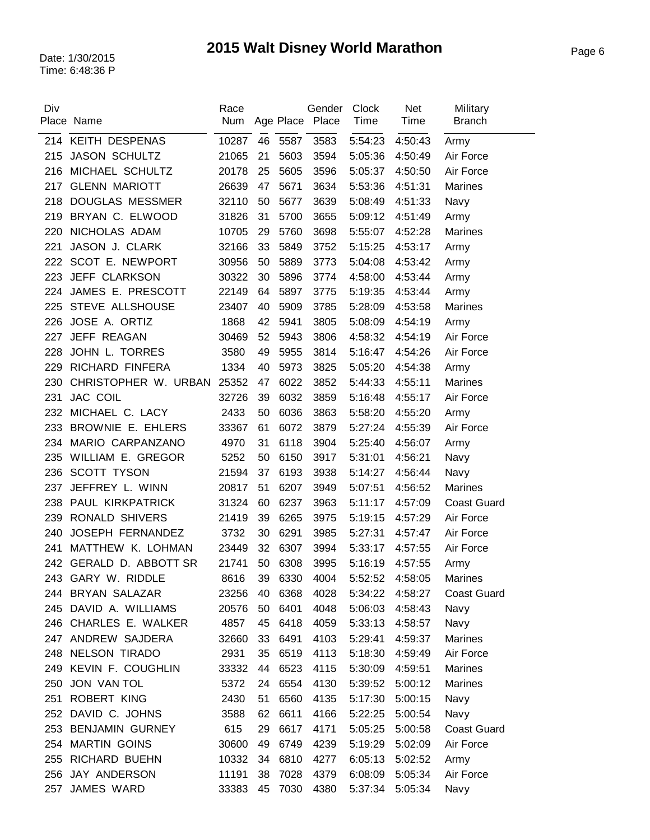| Div | Place Name             | Race<br>Num |    |         | Gender<br>Age Place Place | Clock<br>Time   | <b>Net</b><br>Time | Military<br><b>Branch</b> |
|-----|------------------------|-------------|----|---------|---------------------------|-----------------|--------------------|---------------------------|
|     | 214 KEITH DESPENAS     | 10287       | 46 | 5587    | 3583                      | 5:54:23         | 4:50:43            | Army                      |
| 215 | <b>JASON SCHULTZ</b>   | 21065       | 21 | 5603    | 3594                      | 5:05:36         | 4:50:49            | Air Force                 |
| 216 | MICHAEL SCHULTZ        | 20178       | 25 | 5605    | 3596                      | 5:05:37         | 4:50:50            | Air Force                 |
| 217 | <b>GLENN MARIOTT</b>   | 26639       | 47 | 5671    | 3634                      | 5:53:36         | 4:51:31            | Marines                   |
| 218 | <b>DOUGLAS MESSMER</b> | 32110       | 50 | 5677    | 3639                      | 5:08:49         | 4:51:33            | Navy                      |
| 219 | BRYAN C. ELWOOD        | 31826       | 31 | 5700    | 3655                      | 5:09:12         | 4:51:49            | Army                      |
| 220 | NICHOLAS ADAM          | 10705       | 29 | 5760    | 3698                      | 5:55:07         | 4:52:28            | <b>Marines</b>            |
| 221 | JASON J. CLARK         | 32166       | 33 | 5849    | 3752                      | 5:15:25         | 4:53:17            | Army                      |
| 222 | SCOT E. NEWPORT        | 30956       | 50 | 5889    | 3773                      | 5:04:08         | 4:53:42            | Army                      |
| 223 | JEFF CLARKSON          | 30322       | 30 | 5896    | 3774                      | 4:58:00         | 4:53:44            | Army                      |
| 224 | JAMES E. PRESCOTT      | 22149       | 64 | 5897    | 3775                      | 5:19:35         | 4:53:44            | Army                      |
| 225 | STEVE ALLSHOUSE        | 23407       | 40 | 5909    | 3785                      | 5:28:09         | 4:53:58            | Marines                   |
| 226 | JOSE A. ORTIZ          | 1868        | 42 | 5941    | 3805                      | 5:08:09         | 4:54:19            | Army                      |
| 227 | JEFF REAGAN            | 30469       | 52 | 5943    | 3806                      | 4:58:32         | 4:54:19            | Air Force                 |
| 228 | JOHN L. TORRES         | 3580        | 49 | 5955    | 3814                      | 5:16:47         | 4:54:26            | Air Force                 |
| 229 | RICHARD FINFERA        | 1334        | 40 | 5973    | 3825                      | 5:05:20         | 4:54:38            | Army                      |
| 230 | CHRISTOPHER W. URBAN   | 25352       | 47 | 6022    | 3852                      | 5:44:33         | 4:55:11            | <b>Marines</b>            |
| 231 | <b>JAC COIL</b>        | 32726       | 39 | 6032    | 3859                      | 5:16:48         | 4:55:17            | Air Force                 |
| 232 | MICHAEL C. LACY        | 2433        | 50 | 6036    | 3863                      | 5:58:20         | 4:55:20            | Army                      |
| 233 | BROWNIE E. EHLERS      | 33367       | 61 | 6072    | 3879                      | 5:27:24         | 4:55:39            | Air Force                 |
| 234 | MARIO CARPANZANO       | 4970        | 31 | 6118    | 3904                      | 5:25:40         | 4:56:07            | Army                      |
| 235 | WILLIAM E. GREGOR      | 5252        | 50 | 6150    | 3917                      | 5:31:01         | 4:56:21            | Navy                      |
| 236 | <b>SCOTT TYSON</b>     | 21594       | 37 | 6193    | 3938                      | 5:14:27         | 4:56:44            | Navy                      |
| 237 | JEFFREY L. WINN        | 20817       | 51 | 6207    | 3949                      | 5:07:51         | 4:56:52            | Marines                   |
| 238 | PAUL KIRKPATRICK       | 31324       | 60 | 6237    | 3963                      | 5:11:17         | 4:57:09            | <b>Coast Guard</b>        |
| 239 | <b>RONALD SHIVERS</b>  | 21419       | 39 | 6265    | 3975                      | 5:19:15         | 4:57:29            | Air Force                 |
| 240 | JOSEPH FERNANDEZ       | 3732        | 30 | 6291    | 3985                      | 5:27:31         | 4:57:47            | Air Force                 |
| 241 | MATTHEW K. LOHMAN      | 23449       | 32 | 6307    | 3994                      | 5:33:17         | 4:57:55            | Air Force                 |
| 242 | GERALD D. ABBOTT SR    | 21741       | 50 | 6308    | 3995                      | 5:16:19         | 4:57:55            | Army                      |
|     | 243 GARY W. RIDDLE     | 8616        |    | 39 6330 | 4004                      |                 | 5:52:52 4:58:05    | Marines                   |
|     | 244 BRYAN SALAZAR      | 23256       | 40 | 6368    | 4028                      | 5:34:22         | 4:58:27            | <b>Coast Guard</b>        |
|     | 245 DAVID A. WILLIAMS  | 20576       | 50 | 6401    | 4048                      | 5:06:03         | 4:58:43            | Navy                      |
|     | 246 CHARLES E. WALKER  | 4857        | 45 | 6418    | 4059                      | 5:33:13         | 4:58:57            | Navy                      |
|     | 247 ANDREW SAJDERA     | 32660       | 33 | 6491    | 4103                      | 5:29:41         | 4:59:37            | Marines                   |
|     | 248 NELSON TIRADO      | 2931        | 35 | 6519    | 4113                      | 5:18:30 4:59:49 |                    | Air Force                 |
| 249 | KEVIN F. COUGHLIN      | 33332       | 44 | 6523    | 4115                      | 5:30:09         | 4:59:51            | Marines                   |
| 250 | JON VAN TOL            | 5372        | 24 | 6554    | 4130                      | 5:39:52         | 5:00:12            | <b>Marines</b>            |
|     | 251 ROBERT KING        | 2430        | 51 | 6560    | 4135                      | 5:17:30         | 5:00:15            | Navy                      |
| 252 | DAVID C. JOHNS         | 3588        | 62 | 6611    | 4166                      | 5:22:25         | 5:00:54            | Navy                      |
|     | 253 BENJAMIN GURNEY    | 615         | 29 | 6617    | 4171                      | 5:05:25         | 5:00:58            | <b>Coast Guard</b>        |
|     | 254 MARTIN GOINS       | 30600       | 49 | 6749    | 4239                      | 5:19:29         | 5:02:09            | Air Force                 |
| 255 | <b>RICHARD BUEHN</b>   | 10332       | 34 | 6810    | 4277                      | 6:05:13         | 5:02:52            | Army                      |
|     | 256 JAY ANDERSON       | 11191       | 38 | 7028    | 4379                      | 6:08:09         | 5:05:34            | Air Force                 |
| 257 | JAMES WARD             | 33383       | 45 | 7030    | 4380                      | 5:37:34         | 5:05:34            | Navy                      |
|     |                        |             |    |         |                           |                 |                    |                           |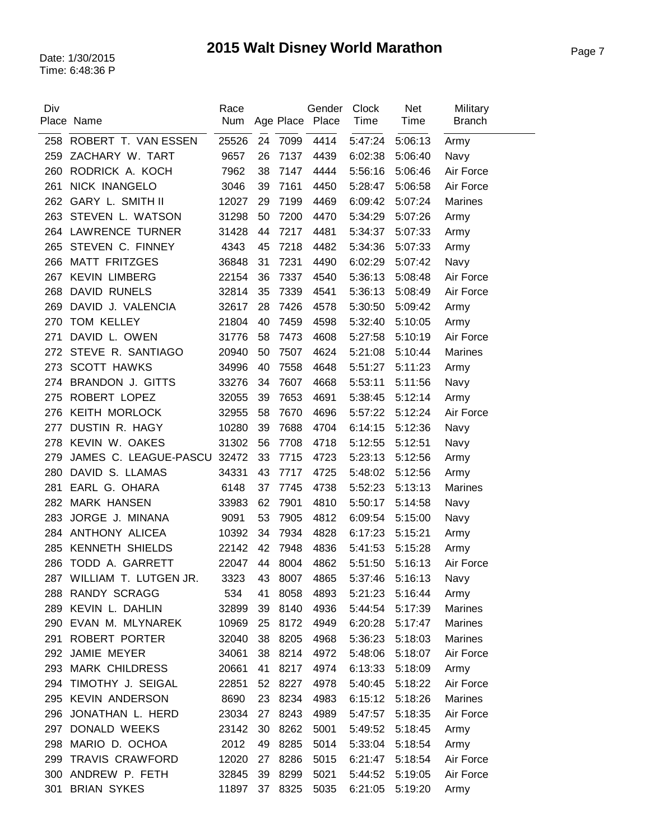| Div | Place Name                | Race<br>Num |    | Age Place | Gender<br>Place | Clock<br>Time | <b>Net</b><br>Time | Military<br><b>Branch</b> |
|-----|---------------------------|-------------|----|-----------|-----------------|---------------|--------------------|---------------------------|
|     | 258 ROBERT T. VAN ESSEN   | 25526       | 24 | 7099      | 4414            | 5:47:24       | 5:06:13            | Army                      |
| 259 | ZACHARY W. TART           | 9657        | 26 | 7137      | 4439            | 6:02:38       | 5:06:40            | Navy                      |
| 260 | RODRICK A. KOCH           | 7962        | 38 | 7147      | 4444            | 5:56:16       | 5:06:46            | Air Force                 |
| 261 | <b>NICK INANGELO</b>      | 3046        | 39 | 7161      | 4450            | 5:28:47       | 5:06:58            | Air Force                 |
| 262 | <b>GARY L. SMITH II</b>   | 12027       | 29 | 7199      | 4469            | 6:09:42       | 5:07:24            | Marines                   |
| 263 | STEVEN L. WATSON          | 31298       | 50 | 7200      | 4470            | 5:34:29       | 5:07:26            | Army                      |
| 264 | <b>LAWRENCE TURNER</b>    | 31428       | 44 | 7217      | 4481            | 5:34:37       | 5:07:33            | Army                      |
| 265 | STEVEN C. FINNEY          | 4343        | 45 | 7218      | 4482            | 5:34:36       | 5:07:33            | Army                      |
| 266 | <b>MATT FRITZGES</b>      | 36848       | 31 | 7231      | 4490            | 6:02:29       | 5:07:42            | Navy                      |
| 267 | <b>KEVIN LIMBERG</b>      | 22154       | 36 | 7337      | 4540            | 5:36:13       | 5:08:48            | Air Force                 |
| 268 | <b>DAVID RUNELS</b>       | 32814       | 35 | 7339      | 4541            | 5:36:13       | 5:08:49            | Air Force                 |
| 269 | DAVID J. VALENCIA         | 32617       | 28 | 7426      | 4578            | 5:30:50       | 5:09:42            | Army                      |
| 270 | TOM KELLEY                | 21804       | 40 | 7459      | 4598            | 5:32:40       | 5:10:05            | Army                      |
| 271 | DAVID L. OWEN             | 31776       | 58 | 7473      | 4608            | 5:27:58       | 5:10:19            | Air Force                 |
| 272 | STEVE R. SANTIAGO         | 20940       | 50 | 7507      | 4624            | 5:21:08       | 5:10:44            | Marines                   |
| 273 | <b>SCOTT HAWKS</b>        | 34996       | 40 | 7558      | 4648            | 5:51:27       | 5:11:23            | Army                      |
| 274 | <b>BRANDON J. GITTS</b>   | 33276       | 34 | 7607      | 4668            | 5:53:11       | 5:11:56            | Navy                      |
| 275 | ROBERT LOPEZ              | 32055       | 39 | 7653      | 4691            | 5:38:45       | 5:12:14            | Army                      |
| 276 | <b>KEITH MORLOCK</b>      | 32955       | 58 | 7670      | 4696            | 5:57:22       | 5:12:24            | Air Force                 |
| 277 | DUSTIN R. HAGY            | 10280       | 39 | 7688      | 4704            | 6:14:15       | 5:12:36            | Navy                      |
| 278 | KEVIN W. OAKES            | 31302       | 56 | 7708      | 4718            | 5:12:55       | 5:12:51            | Navy                      |
| 279 | JAMES C. LEAGUE-PASCU     | 32472       | 33 | 7715      | 4723            | 5:23:13       | 5:12:56            | Army                      |
| 280 | DAVID S. LLAMAS           | 34331       | 43 | 7717      | 4725            | 5:48:02       | 5:12:56            | Army                      |
| 281 | EARL G. OHARA             | 6148        | 37 | 7745      | 4738            | 5:52:23       | 5:13:13            | Marines                   |
| 282 | <b>MARK HANSEN</b>        | 33983       | 62 | 7901      | 4810            | 5:50:17       | 5:14:58            | Navy                      |
| 283 | JORGE J. MINANA           | 9091        | 53 | 7905      | 4812            | 6:09:54       | 5:15:00            | Navy                      |
| 284 | ANTHONY ALICEA            | 10392       | 34 | 7934      | 4828            | 6:17:23       | 5:15:21            | Army                      |
| 285 | <b>KENNETH SHIELDS</b>    | 22142       | 42 | 7948      | 4836            | 5:41:53       | 5:15:28            | Army                      |
| 286 | TODD A. GARRETT           | 22047       | 44 | 8004      | 4862            | 5:51:50       | 5:16:13            | Air Force                 |
|     | 287 WILLIAM T. LUTGEN JR. | 3323        | 43 | 8007      | 4865            | 5:37:46       | 5:16:13            | Navy                      |
| 288 | <b>RANDY SCRAGG</b>       | 534         | 41 | 8058      | 4893            | 5:21:23       | 5:16:44            | Army                      |
| 289 | KEVIN L. DAHLIN           | 32899       | 39 | 8140      | 4936            | 5:44:54       | 5:17:39            | Marines                   |
|     | 290 EVAN M. MLYNAREK      | 10969       | 25 | 8172      | 4949            | 6:20:28       | 5:17:47            | <b>Marines</b>            |
| 291 | ROBERT PORTER             | 32040       | 38 | 8205      | 4968            | 5:36:23       | 5:18:03            | <b>Marines</b>            |
|     | 292 JAMIE MEYER           | 34061       | 38 | 8214      | 4972            | 5:48:06       | 5:18:07            | Air Force                 |
|     | 293 MARK CHILDRESS        | 20661       | 41 | 8217      | 4974            | 6:13:33       | 5:18:09            | Army                      |
| 294 | TIMOTHY J. SEIGAL         | 22851       | 52 | 8227      | 4978            | 5:40:45       | 5:18:22            | Air Force                 |
|     | 295 KEVIN ANDERSON        | 8690        | 23 | 8234      | 4983            | 6:15:12       | 5:18:26            | Marines                   |
| 296 | JONATHAN L. HERD          | 23034       | 27 | 8243      | 4989            | 5:47:57       | 5:18:35            | Air Force                 |
|     | 297 DONALD WEEKS          | 23142       | 30 | 8262      | 5001            | 5:49:52       | 5:18:45            | Army                      |
| 298 | MARIO D. OCHOA            | 2012        | 49 | 8285      | 5014            | 5:33:04       | 5:18:54            | Army                      |
| 299 | TRAVIS CRAWFORD           | 12020       | 27 | 8286      | 5015            | 6:21:47       | 5:18:54            | Air Force                 |
| 300 | ANDREW P. FETH            | 32845       | 39 | 8299      | 5021            | 5:44:52       | 5:19:05            | Air Force                 |
| 301 | <b>BRIAN SYKES</b>        | 11897       | 37 | 8325      | 5035            | 6:21:05       | 5:19:20            | Army                      |
|     |                           |             |    |           |                 |               |                    |                           |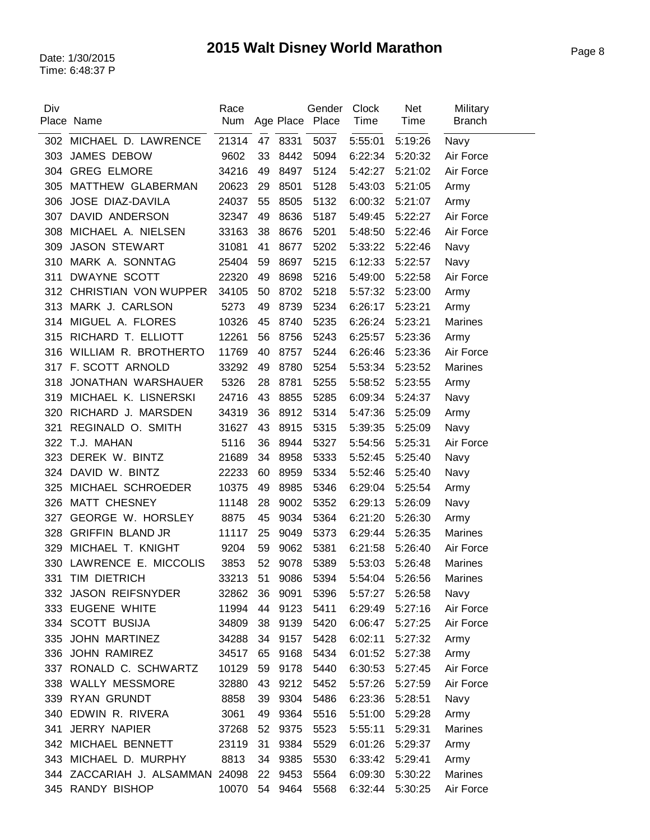| Div | Place Name                      | Race<br>Num |    |         | Gender<br>Age Place Place | <b>Clock</b><br>Time | <b>Net</b><br>Time | Military<br><b>Branch</b> |
|-----|---------------------------------|-------------|----|---------|---------------------------|----------------------|--------------------|---------------------------|
| 302 | MICHAEL D. LAWRENCE             | 21314       |    | 47 8331 | 5037                      | 5:55:01              | 5:19:26            | Navy                      |
| 303 | <b>JAMES DEBOW</b>              | 9602        | 33 | 8442    | 5094                      | 6:22:34              | 5:20:32            | Air Force                 |
| 304 | <b>GREG ELMORE</b>              | 34216       | 49 | 8497    | 5124                      | 5:42:27              | 5:21:02            | Air Force                 |
| 305 | MATTHEW GLABERMAN               | 20623       | 29 | 8501    | 5128                      | 5:43:03              | 5:21:05            | Army                      |
| 306 | JOSE DIAZ-DAVILA                | 24037       | 55 | 8505    | 5132                      | 6:00:32              | 5:21:07            | Army                      |
| 307 | DAVID ANDERSON                  | 32347       | 49 | 8636    | 5187                      | 5:49:45              | 5:22:27            | Air Force                 |
| 308 | MICHAEL A. NIELSEN              | 33163       | 38 | 8676    | 5201                      | 5:48:50              | 5:22:46            | Air Force                 |
| 309 | <b>JASON STEWART</b>            | 31081       | 41 | 8677    | 5202                      | 5:33:22              | 5:22:46            | Navy                      |
| 310 | MARK A. SONNTAG                 | 25404       | 59 | 8697    | 5215                      | 6:12:33              | 5:22:57            | Navy                      |
| 311 | <b>DWAYNE SCOTT</b>             | 22320       | 49 | 8698    | 5216                      | 5:49:00              | 5:22:58            | Air Force                 |
| 312 | CHRISTIAN VON WUPPER            | 34105       | 50 | 8702    | 5218                      | 5:57:32              | 5:23:00            | Army                      |
| 313 | MARK J. CARLSON                 | 5273        | 49 | 8739    | 5234                      | 6:26:17              | 5:23:21            | Army                      |
| 314 | MIGUEL A. FLORES                | 10326       | 45 | 8740    | 5235                      | 6:26:24              | 5:23:21            | Marines                   |
| 315 | RICHARD T. ELLIOTT              | 12261       | 56 | 8756    | 5243                      | 6:25:57              | 5:23:36            | Army                      |
| 316 | WILLIAM R. BROTHERTO            | 11769       | 40 | 8757    | 5244                      | 6:26:46              | 5:23:36            | Air Force                 |
| 317 | F. SCOTT ARNOLD                 | 33292       | 49 | 8780    | 5254                      | 5:53:34              | 5:23:52            | Marines                   |
| 318 | JONATHAN WARSHAUER              | 5326        | 28 | 8781    | 5255                      | 5:58:52              | 5:23:55            | Army                      |
| 319 | MICHAEL K. LISNERSKI            | 24716       | 43 | 8855    | 5285                      | 6:09:34              | 5:24:37            | Navy                      |
| 320 | RICHARD J. MARSDEN              | 34319       | 36 | 8912    | 5314                      | 5:47:36              | 5:25:09            | Army                      |
| 321 | REGINALD O. SMITH               | 31627       | 43 | 8915    | 5315                      | 5:39:35              | 5:25:09            | Navy                      |
| 322 | T.J. MAHAN                      | 5116        | 36 | 8944    | 5327                      | 5:54:56              | 5:25:31            | Air Force                 |
| 323 | DEREK W. BINTZ                  | 21689       | 34 | 8958    | 5333                      | 5:52:45              | 5:25:40            | Navy                      |
| 324 | DAVID W. BINTZ                  | 22233       | 60 | 8959    | 5334                      | 5:52:46              | 5:25:40            | Navy                      |
| 325 | MICHAEL SCHROEDER               | 10375       | 49 | 8985    | 5346                      | 6:29:04              | 5:25:54            | Army                      |
| 326 | MATT CHESNEY                    | 11148       | 28 | 9002    | 5352                      | 6:29:13              | 5:26:09            | Navy                      |
| 327 | <b>GEORGE W. HORSLEY</b>        | 8875        | 45 | 9034    | 5364                      | 6:21:20              | 5:26:30            | Army                      |
| 328 | <b>GRIFFIN BLAND JR</b>         | 11117       | 25 | 9049    | 5373                      | 6:29:44              | 5:26:35            | Marines                   |
| 329 | MICHAEL T. KNIGHT               | 9204        | 59 | 9062    | 5381                      | 6:21:58              | 5:26:40            | Air Force                 |
| 330 | LAWRENCE E. MICCOLIS            | 3853        | 52 | 9078    | 5389                      | 5:53:03              | 5:26:48            | <b>Marines</b>            |
|     | 331 TIM DIETRICH                | 33213       |    | 51 9086 | 5394                      | 5:54:04              | 5:26:56            | Marines                   |
| 332 | <b>JASON REIFSNYDER</b>         | 32862       | 36 | 9091    | 5396                      | 5:57:27              | 5:26:58            | Navy                      |
|     | 333 EUGENE WHITE                | 11994       | 44 | 9123    | 5411                      | 6:29:49              | 5:27:16            | Air Force                 |
|     | 334 SCOTT BUSIJA                | 34809       | 38 | 9139    | 5420                      | 6:06:47              | 5:27:25            | Air Force                 |
|     | 335 JOHN MARTINEZ               | 34288       | 34 | 9157    | 5428                      | 6:02:11              | 5:27:32            | Army                      |
| 336 | <b>JOHN RAMIREZ</b>             | 34517       | 65 | 9168    | 5434                      | 6:01:52              | 5:27:38            | Army                      |
|     | 337 RONALD C. SCHWARTZ          | 10129       | 59 | 9178    | 5440                      | 6:30:53              | 5:27:45            | Air Force                 |
| 338 | <b>WALLY MESSMORE</b>           | 32880       | 43 | 9212    | 5452                      | 5:57:26              | 5:27:59            | Air Force                 |
|     | 339 RYAN GRUNDT                 | 8858        | 39 | 9304    | 5486                      | 6:23:36              | 5:28:51            | Navy                      |
|     | 340 EDWIN R. RIVERA             | 3061        | 49 | 9364    | 5516                      | 5:51:00              | 5:29:28            | Army                      |
| 341 | <b>JERRY NAPIER</b>             | 37268       | 52 | 9375    | 5523                      | 5:55:11              | 5:29:31            | Marines                   |
| 342 | MICHAEL BENNETT                 | 23119       | 31 | 9384    | 5529                      | 6:01:26              | 5:29:37            | Army                      |
| 343 | MICHAEL D. MURPHY               | 8813        | 34 | 9385    | 5530                      | 6:33:42              | 5:29:41            | Army                      |
|     | 344 ZACCARIAH J. ALSAMMAN 24098 |             | 22 | 9453    | 5564                      | 6:09:30              | 5:30:22            | <b>Marines</b>            |
|     | 345 RANDY BISHOP                | 10070       | 54 | 9464    | 5568                      | 6:32:44              | 5:30:25            | Air Force                 |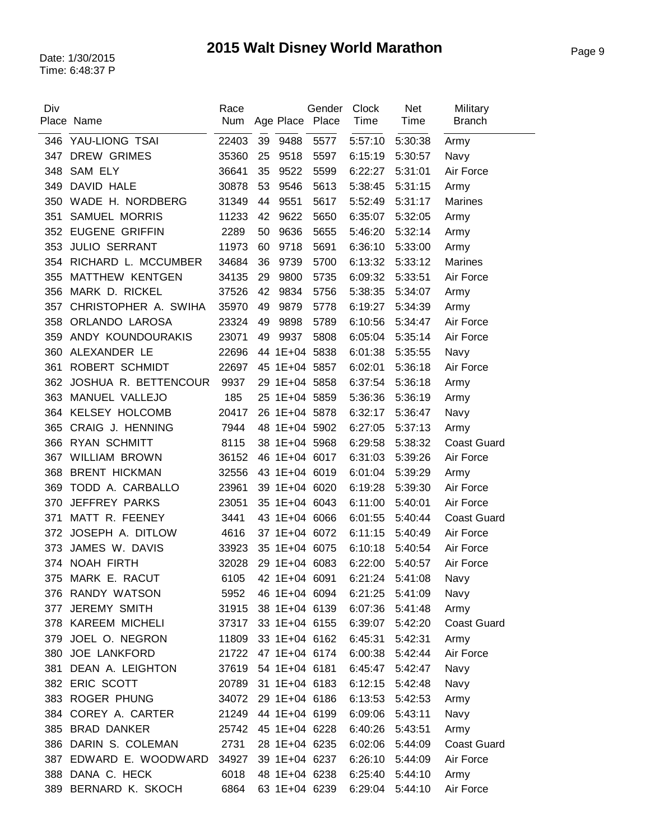| Div | Place Name            | Race<br>Num         |    | Age Place Place    | Gender | Clock<br>Time   | <b>Net</b><br>Time | Military<br><b>Branch</b> |
|-----|-----------------------|---------------------|----|--------------------|--------|-----------------|--------------------|---------------------------|
|     |                       |                     |    |                    |        |                 |                    |                           |
| 346 | YAU-LIONG TSAI        | 22403               | 39 | 9488               | 5577   | 5:57:10         | 5:30:38            | Army                      |
| 347 | <b>DREW GRIMES</b>    | 35360               | 25 | 9518               | 5597   | 6:15:19         | 5:30:57            | Navy                      |
| 348 | <b>SAM ELY</b>        | 36641               | 35 | 9522               | 5599   | 6:22:27         | 5:31:01            | Air Force                 |
| 349 | DAVID HALE            | 30878               | 53 | 9546               | 5613   | 5:38:45         | 5:31:15            | Army                      |
| 350 | WADE H. NORDBERG      | 31349               | 44 | 9551               | 5617   | 5:52:49         | 5:31:17            | <b>Marines</b>            |
| 351 | <b>SAMUEL MORRIS</b>  | 11233               | 42 | 9622               | 5650   | 6:35:07         | 5:32:05            | Army                      |
| 352 | <b>EUGENE GRIFFIN</b> | 2289                | 50 | 9636               | 5655   | 5:46:20         | 5:32:14            | Army                      |
| 353 | <b>JULIO SERRANT</b>  | 11973               | 60 | 9718               | 5691   | 6:36:10         | 5:33:00            | Army                      |
| 354 | RICHARD L. MCCUMBER   | 34684               | 36 | 9739               | 5700   | 6:13:32         | 5:33:12            | <b>Marines</b>            |
| 355 | MATTHEW KENTGEN       | 34135               | 29 | 9800               | 5735   | 6:09:32         | 5:33:51            | Air Force                 |
| 356 | MARK D. RICKEL        | 37526               | 42 | 9834               | 5756   | 5:38:35         | 5:34:07            | Army                      |
| 357 | CHRISTOPHER A. SWIHA  | 35970               | 49 | 9879               | 5778   | 6:19:27         | 5:34:39            | Army                      |
| 358 | ORLANDO LAROSA        | 23324               | 49 | 9898               | 5789   | 6:10:56         | 5:34:47            | Air Force                 |
| 359 | ANDY KOUNDOURAKIS     | 23071               | 49 | 9937               | 5808   | 6:05:04         | 5:35:14            | Air Force                 |
| 360 | ALEXANDER LE          | 22696               |    | 44 1E+04 5838      |        | 6:01:38         | 5:35:55            | Navy                      |
| 361 | ROBERT SCHMIDT        | 22697               |    | 45 1E+04 5857      |        | 6:02:01         | 5:36:18            | Air Force                 |
| 362 | JOSHUA R. BETTENCOUR  | 9937                |    | 29 1E+04 5858      |        | 6:37:54         | 5:36:18            | Army                      |
| 363 | MANUEL VALLEJO        | 185                 |    | 25 1E+04 5859      |        | 5:36:36         | 5:36:19            | Army                      |
| 364 | <b>KELSEY HOLCOMB</b> | 20417               |    | 26 1E+04 5878      |        | 6:32:17         | 5:36:47            | Navy                      |
| 365 | CRAIG J. HENNING      | 7944                |    | 48 1E+04 5902      |        | 6:27:05         | 5:37:13            | Army                      |
| 366 | <b>RYAN SCHMITT</b>   | 8115                |    | 38 1E+04 5968      |        | 6:29:58         | 5:38:32            | <b>Coast Guard</b>        |
| 367 | <b>WILLIAM BROWN</b>  | 36152               |    | 46 1E+04 6017      |        | 6:31:03         | 5:39:26            | Air Force                 |
| 368 | <b>BRENT HICKMAN</b>  | 32556               |    | 43 1E+04 6019      |        | 6:01:04         | 5:39:29            | Army                      |
| 369 | TODD A. CARBALLO      | 23961               |    | 39 1E+04 6020      |        | 6:19:28         | 5:39:30            | Air Force                 |
| 370 | <b>JEFFREY PARKS</b>  | 23051               |    | 35 1E+04 6043      |        | 6:11:00         | 5:40:01            | Air Force                 |
| 371 | MATT R. FEENEY        | 3441                |    | 43 1E+04 6066      |        | 6:01:55         | 5:40:44            | <b>Coast Guard</b>        |
| 372 | JOSEPH A. DITLOW      | 4616                |    | 37 1E+04 6072      |        | 6:11:15         | 5:40:49            | Air Force                 |
| 373 | JAMES W. DAVIS        | 33923               |    | 35 1E+04 6075      |        | 6:10:18         | 5:40:54            | Air Force                 |
|     | 374 NOAH FIRTH        | 32028               |    | 29 1E+04 6083      |        | 6:22:00         | 5:40:57            | Air Force                 |
|     | 375 MARK E. RACUT     |                     |    | 6105 42 1E+04 6091 |        | 6:21:24 5:41:08 |                    | Navy                      |
|     | 376 RANDY WATSON      | 5952                |    | 46 1E+04 6094      |        | 6:21:25         | 5:41:09            | Navy                      |
| 377 | JEREMY SMITH          | 31915               |    | 38 1E+04 6139      |        | 6:07:36         | 5:41:48            | Army                      |
|     | 378 KAREEM MICHELI    | 37317               |    | 33 1E+04 6155      |        | 6:39:07         | 5:42:20            | <b>Coast Guard</b>        |
|     | 379 JOEL O. NEGRON    | 11809               |    | 33 1E+04 6162      |        | 6:45:31         | 5:42:31            | Army                      |
|     | 380 JOE LANKFORD      | 21722 47 1E+04 6174 |    |                    |        | 6:00:38 5:42:44 |                    | Air Force                 |
| 381 | DEAN A. LEIGHTON      | 37619               |    | 54 1E+04 6181      |        | 6:45:47         | 5:42:47            | Navy                      |
|     | 382 ERIC SCOTT        | 20789               |    | 31 1E+04 6183      |        | 6:12:15         | 5:42:48            | Navy                      |
|     | 383 ROGER PHUNG       | 34072               |    | 29 1E+04 6186      |        | 6:13:53         | 5:42:53            | Army                      |
|     | 384 COREY A. CARTER   | 21249               |    | 44 1E+04 6199      |        | 6:09:06         | 5:43:11            | Navy                      |
|     | 385 BRAD DANKER       |                     |    | 45 1E+04 6228      |        |                 |                    |                           |
|     | 386 DARIN S. COLEMAN  | 25742               |    |                    |        | 6:40:26         | 5:43:51            | Army                      |
|     |                       | 2731                |    | 28 1E+04 6235      |        | 6:02:06         | 5:44:09            | <b>Coast Guard</b>        |
| 387 | EDWARD E. WOODWARD    | 34927               |    | 39 1E+04 6237      |        | 6:26:10         | 5:44:09            | Air Force                 |
|     | 388 DANA C. HECK      | 6018                |    | 48 1E+04 6238      |        | 6:25:40         | 5:44:10            | Army                      |
|     | 389 BERNARD K. SKOCH  | 6864                |    | 63 1E+04 6239      |        | 6:29:04         | 5:44:10            | Air Force                 |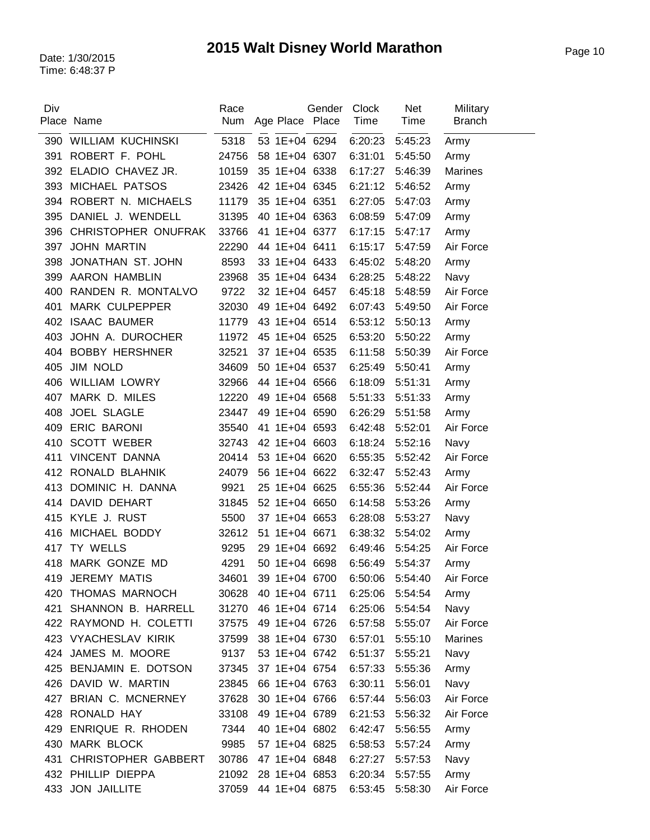| Div | Place Name                 | Race<br>Num | Age Place Place | Gender | Clock<br>Time | <b>Net</b><br>Time | Military<br><b>Branch</b> |
|-----|----------------------------|-------------|-----------------|--------|---------------|--------------------|---------------------------|
| 390 | <b>WILLIAM KUCHINSKI</b>   | 5318        | 53 1E+04 6294   |        | 6:20:23       | 5:45:23            | Army                      |
| 391 | ROBERT F. POHL             | 24756       | 58 1E+04 6307   |        | 6:31:01       | 5:45:50            | Army                      |
| 392 | ELADIO CHAVEZ JR.          | 10159       | 35 1E+04 6338   |        | 6:17:27       | 5:46:39            | <b>Marines</b>            |
| 393 | MICHAEL PATSOS             | 23426       | 42 1E+04 6345   |        | 6:21:12       | 5:46:52            | Army                      |
| 394 | ROBERT N. MICHAELS         | 11179       | 35 1E+04 6351   |        | 6:27:05       | 5:47:03            | Army                      |
| 395 | DANIEL J. WENDELL          | 31395       | 40 1E+04 6363   |        | 6:08:59       | 5:47:09            | Army                      |
| 396 | CHRISTOPHER ONUFRAK        | 33766       | 41 1E+04 6377   |        | 6:17:15       | 5:47:17            | Army                      |
| 397 | <b>JOHN MARTIN</b>         | 22290       | 44 1E+04 6411   |        | 6:15:17       | 5:47:59            | Air Force                 |
| 398 | JONATHAN ST. JOHN          | 8593        | 33 1E+04 6433   |        | 6:45:02       | 5:48:20            | Army                      |
| 399 | <b>AARON HAMBLIN</b>       | 23968       | 35 1E+04 6434   |        | 6:28:25       | 5:48:22            | Navy                      |
| 400 | RANDEN R. MONTALVO         | 9722        | 32 1E+04 6457   |        | 6:45:18       | 5:48:59            | Air Force                 |
| 401 | <b>MARK CULPEPPER</b>      | 32030       | 49 1E+04 6492   |        | 6:07:43       | 5:49:50            | Air Force                 |
| 402 | <b>ISAAC BAUMER</b>        | 11779       | 43 1E+04 6514   |        | 6:53:12       | 5:50:13            | Army                      |
| 403 | JOHN A. DUROCHER           | 11972       | 45 1E+04 6525   |        | 6:53:20       | 5:50:22            | Army                      |
| 404 | <b>BOBBY HERSHNER</b>      | 32521       | 37 1E+04 6535   |        | 6:11:58       | 5:50:39            | Air Force                 |
| 405 | JIM NOLD                   | 34609       | 50 1E+04 6537   |        | 6:25:49       | 5:50:41            | Army                      |
| 406 | <b>WILLIAM LOWRY</b>       | 32966       | 44 1E+04 6566   |        | 6:18:09       | 5:51:31            | Army                      |
| 407 | MARK D. MILES              | 12220       | 49 1E+04 6568   |        | 5:51:33       | 5:51:33            | Army                      |
| 408 | <b>JOEL SLAGLE</b>         | 23447       | 49 1E+04 6590   |        | 6:26:29       | 5:51:58            | Army                      |
| 409 | <b>ERIC BARONI</b>         | 35540       | 41 1E+04 6593   |        | 6:42:48       | 5:52:01            | Air Force                 |
| 410 | <b>SCOTT WEBER</b>         | 32743       | 42 1E+04 6603   |        | 6:18:24       | 5:52:16            | Navy                      |
| 411 | VINCENT DANNA              | 20414       | 53 1E+04 6620   |        | 6:55:35       | 5:52:42            | Air Force                 |
| 412 | RONALD BLAHNIK             | 24079       | 56 1E+04 6622   |        | 6:32:47       | 5:52:43            | Army                      |
| 413 | DOMINIC H. DANNA           | 9921        | 25 1E+04 6625   |        | 6:55:36       | 5:52:44            | Air Force                 |
| 414 | <b>DAVID DEHART</b>        | 31845       | 52 1E+04 6650   |        | 6:14:58       | 5:53:26            | Army                      |
| 415 | KYLE J. RUST               | 5500        | 37 1E+04 6653   |        | 6:28:08       | 5:53:27            | Navy                      |
| 416 | MICHAEL BODDY              | 32612       | 51 1E+04 6671   |        | 6:38:32       | 5:54:02            | Army                      |
| 417 | <b>TY WELLS</b>            | 9295        | 29 1E+04 6692   |        | 6:49:46       | 5:54:25            | Air Force                 |
| 418 | MARK GONZE MD              | 4291        | 50 1E+04 6698   |        | 6:56:49       | 5:54:37            | Army                      |
| 419 | <b>JEREMY MATIS</b>        | 34601       | 39 1E+04 6700   |        | 6:50:06       | 5:54:40            | Air Force                 |
| 420 | THOMAS MARNOCH             | 30628       | 40 1E+04 6711   |        | 6:25:06       | 5:54:54            | Army                      |
| 421 | SHANNON B. HARRELL         | 31270       | 46 1E+04 6714   |        | 6:25:06       | 5:54:54            | Navy                      |
|     | 422 RAYMOND H. COLETTI     | 37575       | 49 1E+04 6726   |        | 6:57:58       | 5:55:07            | Air Force                 |
|     | 423 VYACHESLAV KIRIK       | 37599       | 38 1E+04 6730   |        | 6:57:01       | 5:55:10            | Marines                   |
|     | 424 JAMES M. MOORE         | 9137        | 53 1E+04 6742   |        | 6:51:37       | 5:55:21            | Navy                      |
| 425 | BENJAMIN E. DOTSON         | 37345       | 37 1E+04 6754   |        | 6:57:33       | 5:55:36            | Army                      |
| 426 | DAVID W. MARTIN            | 23845       | 66 1E+04 6763   |        | 6:30:11       | 5:56:01            | Navy                      |
|     | 427 BRIAN C. MCNERNEY      | 37628       | 30 1E+04 6766   |        | 6:57:44       | 5:56:03            | Air Force                 |
| 428 | RONALD HAY                 | 33108       | 49 1E+04 6789   |        | 6:21:53       | 5:56:32            | Air Force                 |
| 429 | ENRIQUE R. RHODEN          | 7344        | 40 1E+04 6802   |        | 6:42:47       | 5:56:55            | Army                      |
| 430 | <b>MARK BLOCK</b>          | 9985        | 57 1E+04 6825   |        | 6:58:53       | 5:57:24            | Army                      |
| 431 | <b>CHRISTOPHER GABBERT</b> | 30786       | 47 1E+04 6848   |        | 6:27:27       | 5:57:53            | Navy                      |
|     | 432 PHILLIP DIEPPA         | 21092       | 28 1E+04 6853   |        | 6:20:34       | 5:57:55            | Army                      |
|     | 433 JON JAILLITE           | 37059       | 44 1E+04 6875   |        | 6:53:45       | 5:58:30            | Air Force                 |
|     |                            |             |                 |        |               |                    |                           |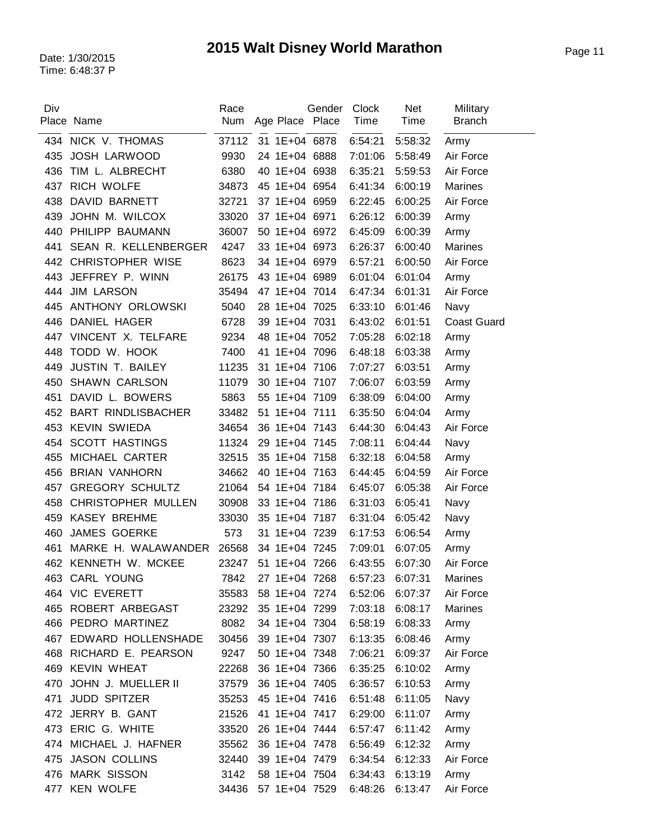| Div        | Place Name                        | Race<br>Num   |                                | Gender<br>Age Place Place | <b>Clock</b><br>Time       | <b>Net</b><br>Time | Military<br><b>Branch</b> |
|------------|-----------------------------------|---------------|--------------------------------|---------------------------|----------------------------|--------------------|---------------------------|
|            | 434 NICK V. THOMAS                | 37112         | 31 1E+04 6878                  |                           | 6:54:21                    | 5:58:32            | Army                      |
| 435        | <b>JOSH LARWOOD</b>               | 9930          | 24 1E+04 6888                  |                           | 7:01:06                    | 5:58:49            | Air Force                 |
| 436        | TIM L. ALBRECHT                   | 6380          | 40 1E+04 6938                  |                           | 6:35:21                    | 5:59:53            | Air Force                 |
|            | 437 RICH WOLFE                    | 34873         | 45 1E+04 6954                  |                           | 6:41:34                    | 6:00:19            | <b>Marines</b>            |
| 438        | DAVID BARNETT                     | 32721         | 37 1E+04 6959                  |                           | 6:22:45                    | 6:00:25            | Air Force                 |
| 439        | JOHN M. WILCOX                    | 33020         | 37 1E+04 6971                  |                           | 6:26:12                    | 6:00:39            | Army                      |
| 440        | PHILIPP BAUMANN                   | 36007         | 50 1E+04 6972                  |                           | 6:45:09                    | 6:00:39            | Army                      |
| 441        | SEAN R. KELLENBERGER              | 4247          | 33 1E+04 6973                  |                           | 6:26:37                    | 6:00:40            | <b>Marines</b>            |
| 442        | <b>CHRISTOPHER WISE</b>           | 8623          | 34 1E+04 6979                  |                           | 6:57:21                    | 6:00:50            | Air Force                 |
| 443        | JEFFREY P. WINN                   | 26175         | 43 1E+04 6989                  |                           | 6:01:04                    | 6:01:04            | Army                      |
| 444        | <b>JIM LARSON</b>                 | 35494         | 47 1E+04 7014                  |                           | 6:47:34                    | 6:01:31            | Air Force                 |
| 445        | ANTHONY ORLOWSKI                  | 5040          | 28 1E+04 7025                  |                           | 6:33:10                    | 6:01:46            | Navy                      |
| 446        | DANIEL HAGER                      | 6728          | 39 1E+04 7031                  |                           | 6:43:02                    | 6:01:51            | <b>Coast Guard</b>        |
| 447        | VINCENT X. TELFARE                | 9234          | 48 1E+04 7052                  |                           | 7:05:28                    | 6:02:18            | Army                      |
| 448        | TODD W. HOOK                      | 7400          | 41 1E+04 7096                  |                           | 6:48:18                    | 6:03:38            | Army                      |
| 449        | <b>JUSTIN T. BAILEY</b>           | 11235         | 31 1E+04 7106                  |                           | 7:07:27                    | 6:03:51            | Army                      |
| 450        | <b>SHAWN CARLSON</b>              | 11079         | 30 1E+04 7107                  |                           | 7:06:07                    | 6:03:59            | Army                      |
| 451        | DAVID L. BOWERS                   | 5863          | 55 1E+04 7109                  |                           | 6:38:09                    | 6:04:00            | Army                      |
| 452        | <b>BART RINDLISBACHER</b>         | 33482         | 51 1E+04 7111                  |                           | 6:35:50                    | 6:04:04            | Army                      |
| 453        | <b>KEVIN SWIEDA</b>               | 34654         | 36 1E+04 7143                  |                           | 6:44:30                    | 6:04:43            | Air Force                 |
| 454        | <b>SCOTT HASTINGS</b>             | 11324         | 29 1E+04 7145                  |                           | 7:08:11                    | 6:04:44            | Navy                      |
| 455        | MICHAEL CARTER                    | 32515         | 35 1E+04 7158                  |                           | 6:32:18                    |                    |                           |
| 456        | <b>BRIAN VANHORN</b>              | 34662         | 40 1E+04 7163                  |                           | 6:44:45                    | 6:04:58<br>6:04:59 | Army<br>Air Force         |
| 457        | <b>GREGORY SCHULTZ</b>            | 21064         | 54 1E+04 7184                  |                           | 6:45:07                    | 6:05:38            | Air Force                 |
| 458        | <b>CHRISTOPHER MULLEN</b>         | 30908         | 33 1E+04 7186                  |                           | 6:31:03                    | 6:05:41            |                           |
|            | <b>KASEY BREHME</b>               |               |                                |                           |                            |                    | Navy                      |
| 459<br>460 | <b>JAMES GOERKE</b>               | 33030<br>573  | 35 1E+04 7187<br>31 1E+04 7239 |                           | 6:31:04<br>6:17:53         | 6:05:42            | Navy<br>Army              |
| 461        | MARKE H. WALAWANDER 26568         |               | 34 1E+04 7245                  |                           | 7:09:01                    | 6:06:54            |                           |
|            | 462 KENNETH W. MCKEE              | 23247         | 51 1E+04 7266                  |                           |                            | 6:07:05<br>6:07:30 | Army<br>Air Force         |
|            |                                   |               | 27 1E+04 7268                  |                           | 6:43:55<br>6:57:23 6:07:31 |                    |                           |
|            | 463 CARL YOUNG<br>464 VIC EVERETT | 7842          | 58 1E+04 7274                  |                           |                            |                    | Marines                   |
|            | 465 ROBERT ARBEGAST               | 35583         | 35 1E+04 7299                  |                           | 6:52:06                    | 6:07:37            | Air Force                 |
|            | 466 PEDRO MARTINEZ                | 23292         | 34 1E+04 7304                  |                           | 7:03:18                    | 6:08:17            | Marines                   |
|            | 467 EDWARD HOLLENSHADE            | 8082          |                                |                           | 6:58:19<br>6:13:35         | 6:08:33<br>6:08:46 | Army                      |
|            |                                   | 30456         | 39 1E+04 7307                  |                           |                            |                    | Army                      |
|            | 468 RICHARD E. PEARSON            | 9247<br>22268 | 50 1E+04 7348                  |                           | 7:06:21                    | 6:09:37            | Air Force                 |
| 469        | <b>KEVIN WHEAT</b>                |               | 36 1E+04 7366                  |                           | 6:35:25                    | 6:10:02            | Army                      |
| 470        | JOHN J. MUELLER II                | 37579         | 36 1E+04 7405                  |                           | 6:36:57                    | 6:10:53            | Army                      |
| 471        | <b>JUDD SPITZER</b>               | 35253         | 45 1E+04 7416                  |                           | 6:51:48                    | 6:11:05            | Navy                      |
|            | 472 JERRY B. GANT                 | 21526         | 41 1E+04 7417                  |                           | 6:29:00                    | 6:11:07            | Army                      |
|            | 473 ERIC G. WHITE                 | 33520         | 26 1E+04 7444                  |                           | 6:57:47                    | 6:11:42            | Army                      |
|            | 474 MICHAEL J. HAFNER             | 35562         | 36 1E+04 7478                  |                           | 6:56:49                    | 6:12:32            | Army                      |
| 475        | <b>JASON COLLINS</b>              | 32440         | 39 1E+04 7479                  |                           | 6:34:54                    | 6:12:33            | Air Force                 |
|            | 476 MARK SISSON                   | 3142          | 58 1E+04 7504                  |                           | 6:34:43                    | 6:13:19            | Army                      |
| 477        | <b>KEN WOLFE</b>                  | 34436         | 57 1E+04 7529                  |                           | 6:48:26                    | 6:13:47            | Air Force                 |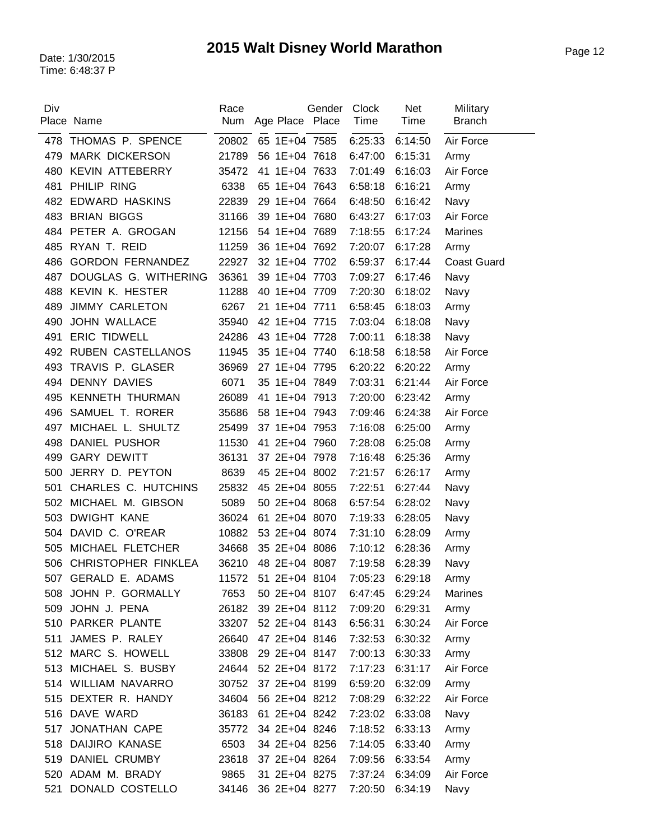| Div | Place Name               | Race<br><b>Num</b> | Age Place Place | Gender              | Clock<br>Time   | <b>Net</b><br><b>Time</b> | Military<br><b>Branch</b> |
|-----|--------------------------|--------------------|-----------------|---------------------|-----------------|---------------------------|---------------------------|
| 478 | THOMAS P. SPENCE         | 20802              | 65 1E+04 7585   |                     | 6:25:33         | 6:14:50                   | Air Force                 |
| 479 | <b>MARK DICKERSON</b>    | 21789              | 56 1E+04 7618   |                     | 6:47:00         | 6:15:31                   | Army                      |
| 480 | KEVIN ATTEBERRY          | 35472              | 41 1E+04 7633   |                     | 7:01:49         | 6:16:03                   | Air Force                 |
| 481 | PHILIP RING              | 6338               | 65 1E+04 7643   |                     | 6:58:18         | 6:16:21                   | Army                      |
| 482 | <b>EDWARD HASKINS</b>    | 22839              | 29 1E+04 7664   |                     | 6:48:50         | 6:16:42                   | Navy                      |
| 483 | <b>BRIAN BIGGS</b>       | 31166              | 39 1E+04 7680   |                     | 6:43:27         | 6:17:03                   | Air Force                 |
| 484 | PETER A. GROGAN          | 12156              | 54 1E+04 7689   |                     | 7:18:55         | 6:17:24                   | Marines                   |
| 485 | RYAN T. REID             | 11259              | 36 1E+04 7692   |                     | 7:20:07         | 6:17:28                   | Army                      |
| 486 | <b>GORDON FERNANDEZ</b>  | 22927              | 32 1E+04 7702   |                     | 6:59:37         | 6:17:44                   | <b>Coast Guard</b>        |
| 487 | DOUGLAS G. WITHERING     | 36361              | 39 1E+04 7703   |                     | 7:09:27         | 6:17:46                   | Navy                      |
| 488 | KEVIN K. HESTER          | 11288              | 40 1E+04 7709   |                     | 7:20:30         | 6:18:02                   | Navy                      |
| 489 | <b>JIMMY CARLETON</b>    | 6267               | 21 1E+04 7711   |                     | 6:58:45         | 6:18:03                   | Army                      |
| 490 | <b>JOHN WALLACE</b>      | 35940              | 42 1E+04 7715   |                     | 7:03:04         | 6:18:08                   | Navy                      |
| 491 | <b>ERIC TIDWELL</b>      | 24286              | 43 1E+04 7728   |                     | 7:00:11         | 6:18:38                   | Navy                      |
| 492 | <b>RUBEN CASTELLANOS</b> | 11945              | 35 1E+04 7740   |                     | 6:18:58         | 6:18:58                   | Air Force                 |
| 493 | TRAVIS P. GLASER         | 36969              | 27 1E+04 7795   |                     | 6:20:22         | 6:20:22                   | Army                      |
| 494 | <b>DENNY DAVIES</b>      | 6071               | 35 1E+04 7849   |                     | 7:03:31         | 6:21:44                   | Air Force                 |
| 495 | <b>KENNETH THURMAN</b>   | 26089              | 41 1E+04 7913   |                     | 7:20:00         | 6:23:42                   | Army                      |
| 496 | SAMUEL T. RORER          | 35686              | 58 1E+04 7943   |                     | 7:09:46         | 6:24:38                   | Air Force                 |
| 497 | MICHAEL L. SHULTZ        | 25499              | 37 1E+04 7953   |                     | 7:16:08         | 6:25:00                   | Army                      |
| 498 | DANIEL PUSHOR            | 11530              | 41 2E+04 7960   |                     | 7:28:08         | 6:25:08                   | Army                      |
| 499 | <b>GARY DEWITT</b>       | 36131              | 37 2E+04 7978   |                     | 7:16:48         | 6:25:36                   | Army                      |
| 500 | JERRY D. PEYTON          | 8639               | 45 2E+04 8002   |                     | 7:21:57         | 6:26:17                   | Army                      |
| 501 | CHARLES C. HUTCHINS      | 25832              | 45 2E+04 8055   |                     | 7:22:51         | 6:27:44                   | Navy                      |
| 502 | MICHAEL M. GIBSON        | 5089               | 50 2E+04 8068   |                     | 6:57:54         | 6:28:02                   | Navy                      |
| 503 | <b>DWIGHT KANE</b>       | 36024              | 61 2E+04 8070   |                     | 7:19:33         | 6:28:05                   | Navy                      |
| 504 | DAVID C. O'REAR          | 10882              | 53 2E+04 8074   |                     | 7:31:10         | 6:28:09                   | Army                      |
| 505 | MICHAEL FLETCHER         | 34668              | 35 2E+04 8086   |                     | 7:10:12         | 6:28:36                   | Army                      |
| 506 | CHRISTOPHER FINKLEA      | 36210              | 48 2E+04 8087   |                     | 7:19:58         | 6:28:39                   | Navy                      |
|     | 507 GERALD E. ADAMS      |                    |                 | 11572 51 2E+04 8104 | 7:05:23 6:29:18 |                           | Army                      |
|     | 508 JOHN P. GORMALLY     | 7653               | 50 2E+04 8107   |                     | 6:47:45         | 6:29:24                   | <b>Marines</b>            |
| 509 | JOHN J. PENA             | 26182              | 39 2E+04 8112   |                     | 7:09:20         | 6:29:31                   | Army                      |
|     | 510 PARKER PLANTE        | 33207              | 52 2E+04 8143   |                     | 6:56:31         | 6:30:24                   | Air Force                 |
| 511 | JAMES P. RALEY           | 26640              | 47 2E+04 8146   |                     | 7:32:53         | 6:30:32                   | Army                      |
|     | 512 MARC S. HOWELL       | 33808              | 29 2E+04 8147   |                     | 7:00:13         | 6:30:33                   | Army                      |
|     | 513 MICHAEL S. BUSBY     | 24644              | 52 2E+04 8172   |                     | 7:17:23         | 6:31:17                   | Air Force                 |
|     | 514 WILLIAM NAVARRO      | 30752              | 37 2E+04 8199   |                     | 6:59:20         | 6:32:09                   | Army                      |
|     | 515 DEXTER R. HANDY      | 34604              | 56 2E+04 8212   |                     | 7:08:29         | 6:32:22                   | Air Force                 |
|     | 516 DAVE WARD            | 36183              | 61 2E+04 8242   |                     | 7:23:02         | 6:33:08                   | Navy                      |
| 517 | <b>JONATHAN CAPE</b>     | 35772              | 34 2E+04 8246   |                     | 7:18:52         | 6:33:13                   | Army                      |
|     | 518 DAIJIRO KANASE       | 6503               | 34 2E+04 8256   |                     | 7:14:05         | 6:33:40                   | Army                      |
| 519 | <b>DANIEL CRUMBY</b>     | 23618              | 37 2E+04 8264   |                     | 7:09:56         | 6:33:54                   | Army                      |
| 520 | ADAM M. BRADY            | 9865               | 31 2E+04 8275   |                     | 7:37:24         | 6:34:09                   | Air Force                 |
| 521 | DONALD COSTELLO          | 34146              | 36 2E+04 8277   |                     | 7:20:50         | 6:34:19                   | Navy                      |
|     |                          |                    |                 |                     |                 |                           |                           |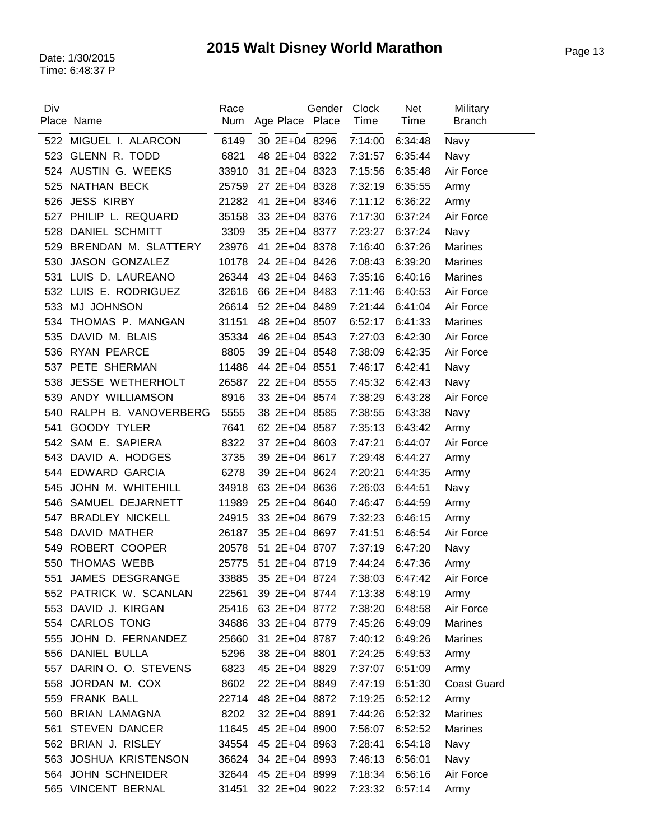| Div        | Place Name               | Race<br>Num    | Age Place Place                | Gender | Clock<br>Time      | <b>Net</b><br>Time | Military<br><b>Branch</b> |
|------------|--------------------------|----------------|--------------------------------|--------|--------------------|--------------------|---------------------------|
| 522        | MIGUEL I. ALARCON        | 6149           | 30 2E+04 8296                  |        | 7:14:00            | 6:34:48            | Navy                      |
| 523        | GLENN R. TODD            | 6821           | 48 2E+04 8322                  |        | 7:31:57            | 6:35:44            | Navy                      |
|            | 524 AUSTIN G. WEEKS      | 33910          | 31 2E+04 8323                  |        | 7:15:56            | 6:35:48            | Air Force                 |
| 525        | NATHAN BECK              | 25759          | 27 2E+04 8328                  |        | 7:32:19            | 6:35:55            | Army                      |
| 526        | <b>JESS KIRBY</b>        | 21282          | 41 2E+04 8346                  |        | 7:11:12            | 6:36:22            | Army                      |
| 527        | PHILIP L. REQUARD        | 35158          | 33 2E+04 8376                  |        | 7:17:30            | 6:37:24            | Air Force                 |
| 528        | DANIEL SCHMITT           | 3309           | 35 2E+04 8377                  |        | 7:23:27            | 6:37:24            | Navy                      |
| 529        | BRENDAN M. SLATTERY      | 23976          | 41 2E+04 8378                  |        | 7:16:40            | 6:37:26            | <b>Marines</b>            |
| 530        | <b>JASON GONZALEZ</b>    | 10178          | 24 2E+04 8426                  |        | 7:08:43            | 6:39:20            | <b>Marines</b>            |
| 531        | LUIS D. LAUREANO         | 26344          | 43 2E+04 8463                  |        | 7:35:16            | 6:40:16            | Marines                   |
|            | 532 LUIS E. RODRIGUEZ    | 32616          | 66 2E+04 8483                  |        | 7:11:46            | 6:40:53            | Air Force                 |
| 533        | MJ JOHNSON               | 26614          | 52 2E+04 8489                  |        | 7:21:44            | 6:41:04            | Air Force                 |
| 534        | THOMAS P. MANGAN         | 31151          | 48 2E+04 8507                  |        | 6:52:17            | 6:41:33            | <b>Marines</b>            |
| 535        | DAVID M. BLAIS           | 35334          | 46 2E+04 8543                  |        | 7:27:03            | 6:42:30            | Air Force                 |
|            | 536 RYAN PEARCE          | 8805           | 39 2E+04 8548                  |        | 7:38:09            | 6:42:35            | Air Force                 |
|            | 537 PETE SHERMAN         | 11486          | 44 2E+04 8551                  |        | 7:46:17            | 6:42:41            | Navy                      |
| 538        | <b>JESSE WETHERHOLT</b>  | 26587          | 22 2E+04 8555                  |        | 7:45:32            | 6:42:43            | Navy                      |
| 539        | ANDY WILLIAMSON          | 8916           | 33 2E+04 8574                  |        | 7:38:29            | 6:43:28            | Air Force                 |
| 540        | RALPH B. VANOVERBERG     | 5555           | 38 2E+04 8585                  |        | 7:38:55            | 6:43:38            | Navy                      |
| 541        | <b>GOODY TYLER</b>       | 7641           | 62 2E+04 8587                  |        | 7:35:13            | 6:43:42            | Army                      |
|            | 542 SAM E. SAPIERA       | 8322           | 37 2E+04 8603                  |        | 7:47:21            | 6:44:07            | Air Force                 |
| 543        | DAVID A. HODGES          | 3735           | 39 2E+04 8617                  |        | 7:29:48            | 6:44:27            |                           |
| 544        | <b>EDWARD GARCIA</b>     | 6278           | 39 2E+04 8624                  |        | 7:20:21            | 6:44:35            | Army<br>Army              |
| 545        | JOHN M. WHITEHILL        | 34918          | 63 2E+04 8636                  |        | 7:26:03            | 6:44:51            |                           |
| 546        | SAMUEL DEJARNETT         | 11989          | 25 2E+04 8640                  |        | 7:46:47            | 6:44:59            | Navy<br>Army              |
| 547        | <b>BRADLEY NICKELL</b>   | 24915          | 33 2E+04 8679                  |        | 7:32:23            |                    |                           |
|            | DAVID MATHER             | 26187          | 35 2E+04 8697                  |        |                    | 6:46:15            | Army<br>Air Force         |
| 548<br>549 | ROBERT COOPER            | 20578          | 51 2E+04 8707                  |        | 7:41:51<br>7:37:19 | 6:46:54            |                           |
|            | THOMAS WEBB              | 25775          | 51 2E+04 8719                  |        | 7:44:24            | 6:47:20<br>6:47:36 | Navy                      |
| 550<br>551 | JAMES DESGRANGE          |                | 33885 35 2E+04 8724            |        |                    | 7:38:03 6:47:42    | Army                      |
|            | 552 PATRICK W. SCANLAN   |                |                                |        |                    |                    | Air Force                 |
|            | 553 DAVID J. KIRGAN      | 22561<br>25416 | 39 2E+04 8744<br>63 2E+04 8772 |        | 7:13:38            | 6:48:19<br>6:48:58 | Army<br>Air Force         |
|            | 554 CARLOS TONG          | 34686          | 33 2E+04 8779                  |        | 7:38:20            | 6:49:09            | Marines                   |
|            | 555 JOHN D. FERNANDEZ    | 25660          | 31 2E+04 8787                  |        | 7:45:26            |                    |                           |
|            | 556 DANIEL BULLA         |                |                                |        | 7:40:12            | 6:49:26            | Marines                   |
|            |                          | 5296           | 38 2E+04 8801                  |        | 7:24:25            | 6:49:53            | Army                      |
| 557        | DARIN O. O. STEVENS      | 6823           | 45 2E+04 8829                  |        | 7:37:07            | 6:51:09            | Army                      |
| 558        | JORDAN M. COX            | 8602           | 22 2E+04 8849                  |        | 7:47:19            | 6:51:30            | <b>Coast Guard</b>        |
|            | 559 FRANK BALL           | 22714          | 48 2E+04 8872                  |        | 7:19:25            | 6:52:12            | Army                      |
|            | 560 BRIAN LAMAGNA        | 8202           | 32 2E+04 8891                  |        | 7:44:26            | 6:52:32            | Marines                   |
| 561        | <b>STEVEN DANCER</b>     | 11645          | 45 2E+04 8900                  |        | 7:56:07            | 6:52:52            | Marines                   |
|            | 562 BRIAN J. RISLEY      | 34554          | 45 2E+04 8963                  |        | 7:28:41            | 6:54:18            | Navy                      |
| 563        | <b>JOSHUA KRISTENSON</b> | 36624          | 34 2E+04 8993                  |        | 7:46:13            | 6:56:01            | Navy                      |
|            | 564 JOHN SCHNEIDER       | 32644          | 45 2E+04 8999                  |        | 7:18:34            | 6:56:16            | Air Force                 |
|            | 565 VINCENT BERNAL       | 31451          | 32 2E+04 9022                  |        | 7:23:32            | 6:57:14            | Army                      |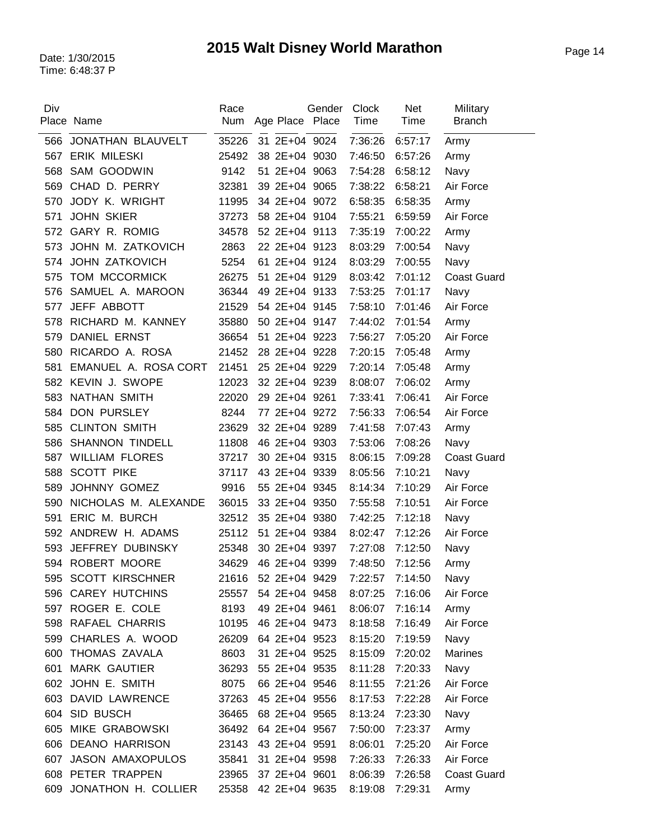| Div | Place Name              | Race<br>Num | Age Place Place | Gender | Clock<br>Time | <b>Net</b><br><b>Time</b> | Military<br><b>Branch</b> |
|-----|-------------------------|-------------|-----------------|--------|---------------|---------------------------|---------------------------|
| 566 | JONATHAN BLAUVELT       | 35226       | 31 2E+04 9024   |        | 7:36:26       | 6:57:17                   | Army                      |
| 567 | <b>ERIK MILESKI</b>     | 25492       | 38 2E+04 9030   |        | 7:46:50       | 6:57:26                   | Army                      |
| 568 | SAM GOODWIN             | 9142        | 51 2E+04 9063   |        | 7:54:28       | 6:58:12                   | Navy                      |
| 569 | CHAD D. PERRY           | 32381       | 39 2E+04 9065   |        | 7:38:22       | 6:58:21                   | Air Force                 |
| 570 | JODY K. WRIGHT          | 11995       | 34 2E+04 9072   |        | 6:58:35       | 6:58:35                   | Army                      |
| 571 | <b>JOHN SKIER</b>       | 37273       | 58 2E+04 9104   |        | 7:55:21       | 6:59:59                   | Air Force                 |
| 572 | <b>GARY R. ROMIG</b>    | 34578       | 52 2E+04 9113   |        | 7:35:19       | 7:00:22                   | Army                      |
| 573 | JOHN M. ZATKOVICH       | 2863        | 22 2E+04 9123   |        | 8:03:29       | 7:00:54                   | Navy                      |
| 574 | <b>JOHN ZATKOVICH</b>   | 5254        | 61 2E+04 9124   |        | 8:03:29       | 7:00:55                   | Navy                      |
| 575 | <b>TOM MCCORMICK</b>    | 26275       | 51 2E+04 9129   |        | 8:03:42       | 7:01:12                   | <b>Coast Guard</b>        |
| 576 | SAMUEL A. MAROON        | 36344       | 49 2E+04 9133   |        | 7:53:25       | 7:01:17                   | Navy                      |
| 577 | JEFF ABBOTT             | 21529       | 54 2E+04 9145   |        | 7:58:10       | 7:01:46                   | Air Force                 |
| 578 | RICHARD M. KANNEY       | 35880       | 50 2E+04 9147   |        | 7:44:02       | 7:01:54                   | Army                      |
| 579 | <b>DANIEL ERNST</b>     | 36654       | 51 2E+04 9223   |        | 7:56:27       | 7:05:20                   | Air Force                 |
| 580 | RICARDO A. ROSA         | 21452       | 28 2E+04 9228   |        | 7:20:15       | 7:05:48                   | Army                      |
| 581 | EMANUEL A. ROSA CORT    | 21451       | 25 2E+04 9229   |        | 7:20:14       | 7:05:48                   | Army                      |
| 582 | KEVIN J. SWOPE          | 12023       | 32 2E+04 9239   |        | 8:08:07       | 7:06:02                   | Army                      |
| 583 | NATHAN SMITH            | 22020       | 29 2E+04 9261   |        | 7:33:41       | 7:06:41                   | Air Force                 |
| 584 | <b>DON PURSLEY</b>      | 8244        | 77 2E+04 9272   |        | 7:56:33       | 7:06:54                   | Air Force                 |
| 585 | <b>CLINTON SMITH</b>    | 23629       | 32 2E+04 9289   |        | 7:41:58       | 7:07:43                   | Army                      |
| 586 | <b>SHANNON TINDELL</b>  | 11808       | 46 2E+04 9303   |        | 7:53:06       | 7:08:26                   | Navy                      |
| 587 | <b>WILLIAM FLORES</b>   | 37217       | 30 2E+04 9315   |        | 8:06:15       | 7:09:28                   | <b>Coast Guard</b>        |
| 588 | <b>SCOTT PIKE</b>       | 37117       | 43 2E+04 9339   |        | 8:05:56       | 7:10:21                   | Navy                      |
| 589 | JOHNNY GOMEZ            | 9916        | 55 2E+04 9345   |        | 8:14:34       | 7:10:29                   | Air Force                 |
| 590 | NICHOLAS M. ALEXANDE    | 36015       | 33 2E+04 9350   |        | 7:55:58       | 7:10:51                   | Air Force                 |
| 591 | ERIC M. BURCH           | 32512       | 35 2E+04 9380   |        | 7:42:25       | 7:12:18                   | Navy                      |
|     | 592 ANDREW H. ADAMS     | 25112       | 51 2E+04 9384   |        | 8:02:47       | 7:12:26                   | Air Force                 |
| 593 | JEFFREY DUBINSKY        | 25348       | 30 2E+04 9397   |        | 7:27:08       | 7:12:50                   | Navy                      |
|     | 594 ROBERT MOORE        | 34629       | 46 2E+04 9399   |        | 7:48:50       | 7:12:56                   | Army                      |
| 595 | <b>SCOTT KIRSCHNER</b>  | 21616       | 52 2E+04 9429   |        | 7:22:57       | 7:14:50                   | Navy                      |
| 596 | <b>CAREY HUTCHINS</b>   | 25557       | 54 2E+04 9458   |        | 8:07:25       | 7:16:06                   | Air Force                 |
|     | 597 ROGER E. COLE       | 8193        | 49 2E+04 9461   |        | 8:06:07       | 7:16:14                   | Army                      |
|     | 598 RAFAEL CHARRIS      | 10195       | 46 2E+04 9473   |        | 8:18:58       | 7:16:49                   | Air Force                 |
| 599 | CHARLES A. WOOD         | 26209       | 64 2E+04 9523   |        | 8:15:20       | 7:19:59                   | Navy                      |
|     | 600 THOMAS ZAVALA       | 8603        | 31 2E+04 9525   |        | 8:15:09       | 7:20:02                   | Marines                   |
| 601 | <b>MARK GAUTIER</b>     | 36293       | 55 2E+04 9535   |        | 8:11:28       | 7:20:33                   | Navy                      |
|     | 602 JOHN E. SMITH       | 8075        | 66 2E+04 9546   |        | 8:11:55       | 7:21:26                   | Air Force                 |
|     | 603 DAVID LAWRENCE      | 37263       | 45 2E+04 9556   |        | 8:17:53       | 7:22:28                   | Air Force                 |
|     | 604 SID BUSCH           | 36465       | 68 2E+04 9565   |        | 8:13:24       | 7:23:30                   | Navy                      |
|     | 605 MIKE GRABOWSKI      | 36492       | 64 2E+04 9567   |        | 7:50:00       | 7:23:37                   | Army                      |
|     | 606 DEANO HARRISON      | 23143       | 43 2E+04 9591   |        | 8:06:01       | 7:25:20                   | Air Force                 |
| 607 | <b>JASON AMAXOPULOS</b> | 35841       | 31 2E+04 9598   |        | 7:26:33       | 7:26:33                   | Air Force                 |
|     | 608 PETER TRAPPEN       | 23965       | 37 2E+04 9601   |        | 8:06:39       | 7:26:58                   | <b>Coast Guard</b>        |
|     | 609 JONATHON H. COLLIER | 25358       | 42 2E+04 9635   |        | 8:19:08       | 7:29:31                   | Army                      |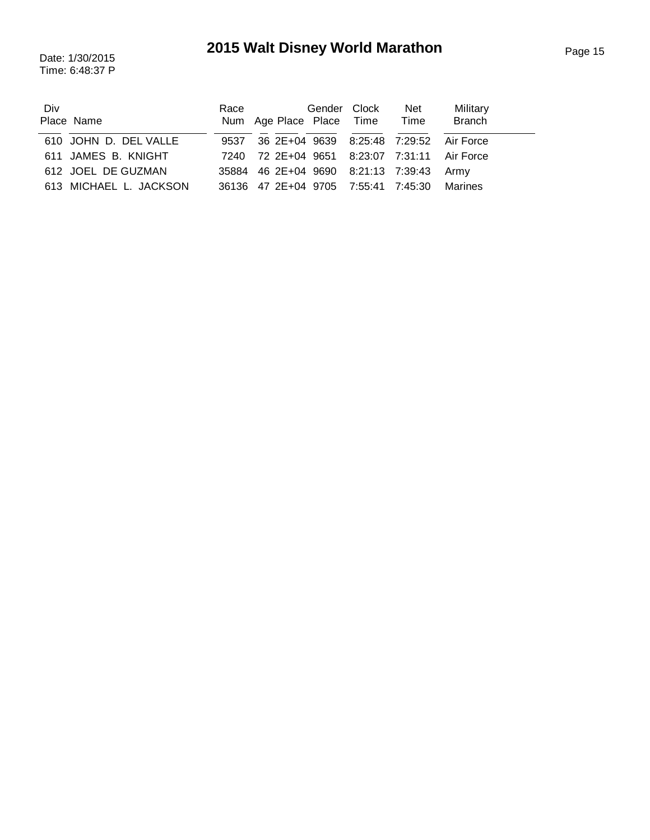Time: 6:48:37 P

| Div<br>Place Name      | Race | Num Age Place Place Time                     | Gender Clock | Net<br>Time | Military<br><b>Branch</b> |
|------------------------|------|----------------------------------------------|--------------|-------------|---------------------------|
| 610 JOHN D. DEL VALLE  |      | 9537 36 2E+04 9639 8:25:48 7:29:52 Air Force |              |             |                           |
| 611 JAMES B. KNIGHT    |      | 7240 72 2E+04 9651 8:23:07 7:31:11 Air Force |              |             |                           |
| 612 JOEL DE GUZMAN     |      | 35884 46 2E+04 9690 8:21:13 7:39:43 Army     |              |             |                           |
| 613 MICHAEL L. JACKSON |      | 36136 47 2E+04 9705 7:55:41 7:45:30 Marines  |              |             |                           |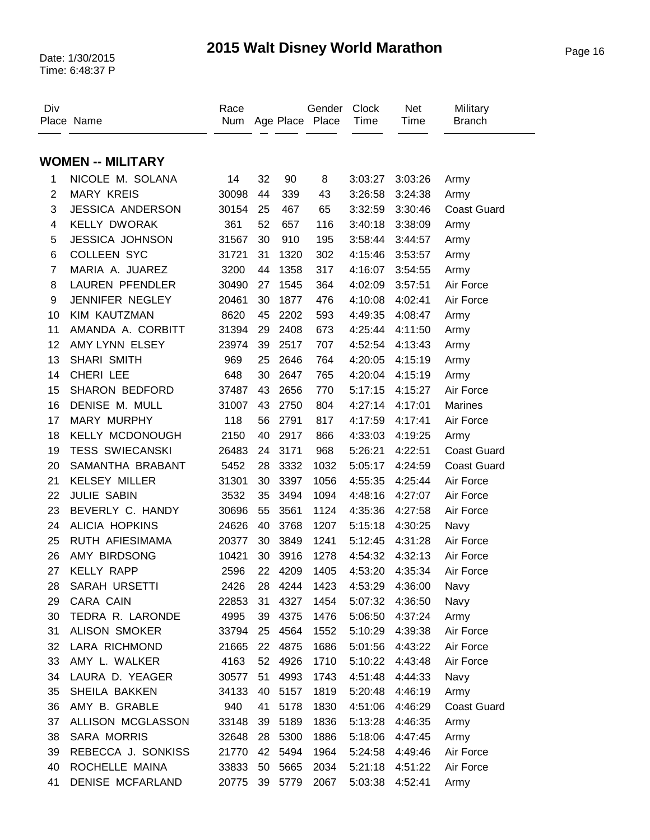| Div                     | Place Name               | Race<br>Num |    |      | Gender<br>Age Place Place | Clock<br>Time | <b>Net</b><br>Time | Military<br><b>Branch</b> |
|-------------------------|--------------------------|-------------|----|------|---------------------------|---------------|--------------------|---------------------------|
|                         |                          |             |    |      |                           |               |                    |                           |
|                         | <b>WOMEN -- MILITARY</b> |             |    |      |                           |               |                    |                           |
| 1                       | NICOLE M. SOLANA         | 14          | 32 | 90   | 8                         | 3:03:27       | 3:03:26            | Army                      |
| $\overline{2}$          | <b>MARY KREIS</b>        | 30098       | 44 | 339  | 43                        | 3:26:58       | 3:24:38            | Army                      |
| 3                       | <b>JESSICA ANDERSON</b>  | 30154       | 25 | 467  | 65                        | 3:32:59       | 3:30:46            | <b>Coast Guard</b>        |
| $\overline{\mathbf{4}}$ | <b>KELLY DWORAK</b>      | 361         | 52 | 657  | 116                       | 3:40:18       | 3:38:09            | Army                      |
| 5                       | <b>JESSICA JOHNSON</b>   | 31567       | 30 | 910  | 195                       | 3:58:44       | 3:44:57            | Army                      |
| 6                       | <b>COLLEEN SYC</b>       | 31721       | 31 | 1320 | 302                       | 4:15:46       | 3:53:57            | Army                      |
| $\overline{7}$          | MARIA A. JUAREZ          | 3200        | 44 | 1358 | 317                       | 4:16:07       | 3:54:55            | Army                      |
| 8                       | <b>LAUREN PFENDLER</b>   | 30490       | 27 | 1545 | 364                       | 4:02:09       | 3:57:51            | Air Force                 |
| 9                       | JENNIFER NEGLEY          | 20461       | 30 | 1877 | 476                       | 4:10:08       | 4:02:41            | Air Force                 |
| 10                      | KIM KAUTZMAN             | 8620        | 45 | 2202 | 593                       | 4:49:35       | 4:08:47            | Army                      |
| 11                      | AMANDA A. CORBITT        | 31394       | 29 | 2408 | 673                       | 4:25:44       | 4:11:50            | Army                      |
| 12                      | AMY LYNN ELSEY           | 23974       | 39 | 2517 | 707                       | 4:52:54       | 4:13:43            | Army                      |
| 13                      | <b>SHARI SMITH</b>       | 969         | 25 | 2646 | 764                       | 4:20:05       | 4:15:19            | Army                      |
| 14                      | CHERI LEE                | 648         | 30 | 2647 | 765                       | 4:20:04       | 4:15:19            | Army                      |
| 15                      | <b>SHARON BEDFORD</b>    | 37487       | 43 | 2656 | 770                       | 5:17:15       | 4:15:27            | Air Force                 |
| 16                      | DENISE M. MULL           | 31007       | 43 | 2750 | 804                       | 4:27:14       | 4:17:01            | Marines                   |
| 17                      | <b>MARY MURPHY</b>       | 118         | 56 | 2791 | 817                       | 4:17:59       | 4:17:41            | Air Force                 |
| 18                      | <b>KELLY MCDONOUGH</b>   | 2150        | 40 | 2917 | 866                       | 4:33:03       | 4:19:25            | Army                      |
| 19                      | <b>TESS SWIECANSKI</b>   | 26483       | 24 | 3171 | 968                       | 5:26:21       | 4:22:51            | <b>Coast Guard</b>        |
| 20                      | SAMANTHA BRABANT         | 5452        | 28 | 3332 | 1032                      | 5:05:17       | 4:24:59            | <b>Coast Guard</b>        |
| 21                      | <b>KELSEY MILLER</b>     | 31301       | 30 | 3397 | 1056                      | 4:55:35       | 4:25:44            | Air Force                 |
| 22                      | <b>JULIE SABIN</b>       | 3532        | 35 | 3494 | 1094                      | 4:48:16       | 4:27:07            | Air Force                 |
| 23                      | BEVERLY C. HANDY         | 30696       | 55 | 3561 | 1124                      | 4:35:36       | 4:27:58            | Air Force                 |
| 24                      | <b>ALICIA HOPKINS</b>    | 24626       | 40 | 3768 | 1207                      | 5:15:18       | 4:30:25            | Navy                      |
| 25                      | RUTH AFIESIMAMA          | 20377       | 30 | 3849 | 1241                      | 5:12:45       | 4:31:28            | Air Force                 |
| 26                      | AMY BIRDSONG             | 10421       | 30 | 3916 | 1278                      | 4:54:32       | 4:32:13            | Air Force                 |
| 27                      | <b>KELLY RAPP</b>        | 2596        | 22 | 4209 | 1405                      | 4:53:20       | 4:35:34            | Air Force                 |
| 28                      | <b>SARAH URSETTI</b>     | 2426        | 28 | 4244 | 1423                      | 4:53:29       | 4:36:00            | Navy                      |
| 29                      | CARA CAIN                | 22853       | 31 | 4327 | 1454                      | 5:07:32       | 4:36:50            | Navy                      |
| 30                      | TEDRA R. LARONDE         | 4995        | 39 | 4375 | 1476                      | 5:06:50       | 4:37:24            | Army                      |
| 31                      | <b>ALISON SMOKER</b>     | 33794       | 25 | 4564 | 1552                      | 5:10:29       | 4:39:38            | Air Force                 |
| 32                      | LARA RICHMOND            | 21665       | 22 | 4875 | 1686                      | 5:01:56       | 4:43:22            | Air Force                 |
| 33                      | AMY L. WALKER            | 4163        | 52 | 4926 | 1710                      | 5:10:22       | 4:43:48            | Air Force                 |
| 34                      | LAURA D. YEAGER          | 30577       | 51 | 4993 | 1743                      | 4:51:48       | 4:44:33            | Navy                      |
| 35                      | SHEILA BAKKEN            | 34133       | 40 | 5157 | 1819                      | 5:20:48       | 4:46:19            | Army                      |
| 36                      | AMY B. GRABLE            | 940         | 41 | 5178 | 1830                      | 4:51:06       | 4:46:29            | <b>Coast Guard</b>        |
| 37                      | ALLISON MCGLASSON        | 33148       | 39 | 5189 | 1836                      | 5:13:28       | 4:46:35            | Army                      |
| 38                      | SARA MORRIS              | 32648       | 28 | 5300 | 1886                      | 5:18:06       | 4:47:45            | Army                      |
| 39                      | REBECCA J. SONKISS       | 21770       | 42 | 5494 | 1964                      | 5:24:58       | 4:49:46            | Air Force                 |
| 40                      | ROCHELLE MAINA           | 33833       | 50 | 5665 | 2034                      | 5:21:18       | 4:51:22            | Air Force                 |
| 41                      | DENISE MCFARLAND         | 20775       | 39 | 5779 | 2067                      | 5:03:38       | 4:52:41            | Army                      |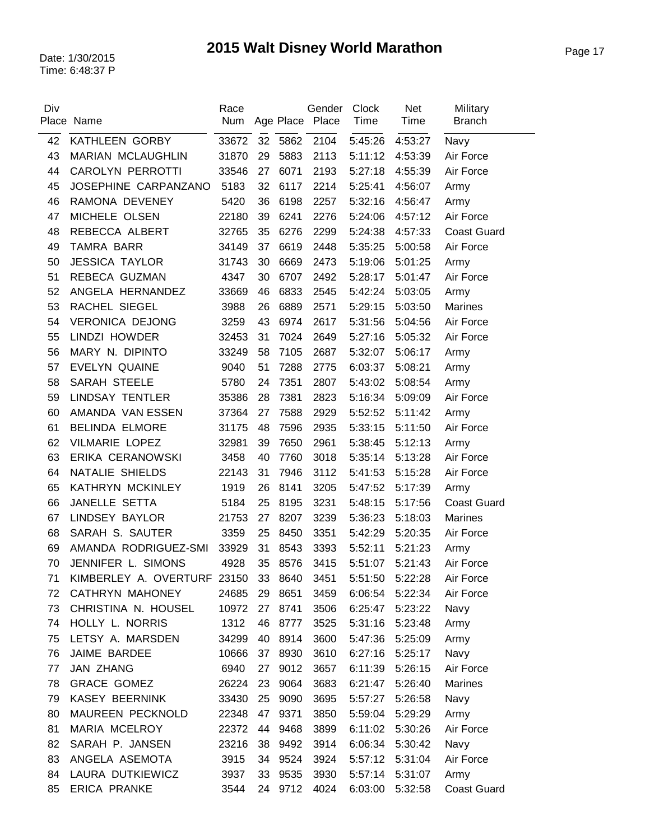| Div | Place Name                          | Race<br>Num |    |         | Gender<br>Age Place Place | <b>Clock</b><br>Time | Net<br>Time | Military<br><b>Branch</b> |
|-----|-------------------------------------|-------------|----|---------|---------------------------|----------------------|-------------|---------------------------|
| 42  | KATHLEEN GORBY                      | 33672       |    | 32 5862 | 2104                      | 5:45:26              | 4:53:27     | Navy                      |
| 43  | MARIAN MCLAUGHLIN                   | 31870       | 29 | 5883    | 2113                      | 5:11:12              | 4:53:39     | Air Force                 |
| 44  | <b>CAROLYN PERROTTI</b>             | 33546       | 27 | 6071    | 2193                      | 5:27:18              | 4:55:39     | Air Force                 |
| 45  | JOSEPHINE CARPANZANO                | 5183        | 32 | 6117    | 2214                      | 5:25:41              | 4:56:07     | Army                      |
| 46  | RAMONA DEVENEY                      | 5420        | 36 | 6198    | 2257                      | 5:32:16              | 4:56:47     | Army                      |
| 47  | MICHELE OLSEN                       | 22180       | 39 | 6241    | 2276                      | 5:24:06              | 4:57:12     | Air Force                 |
| 48  | REBECCA ALBERT                      | 32765       | 35 | 6276    | 2299                      | 5:24:38              | 4:57:33     | <b>Coast Guard</b>        |
| 49  | TAMRA BARR                          | 34149       | 37 | 6619    | 2448                      | 5:35:25              | 5:00:58     | Air Force                 |
| 50  | <b>JESSICA TAYLOR</b>               | 31743       | 30 | 6669    | 2473                      | 5:19:06              | 5:01:25     | Army                      |
| 51  | REBECA GUZMAN                       | 4347        | 30 | 6707    | 2492                      | 5:28:17              | 5:01:47     | Air Force                 |
| 52  | ANGELA HERNANDEZ                    | 33669       | 46 | 6833    | 2545                      | 5:42:24              | 5:03:05     | Army                      |
| 53  | RACHEL SIEGEL                       | 3988        | 26 | 6889    | 2571                      | 5:29:15              | 5:03:50     | Marines                   |
| 54  | <b>VERONICA DEJONG</b>              | 3259        | 43 | 6974    | 2617                      | 5:31:56              | 5:04:56     | Air Force                 |
| 55  | LINDZI HOWDER                       | 32453       | 31 | 7024    | 2649                      | 5:27:16              | 5:05:32     | Air Force                 |
| 56  | MARY N. DIPINTO                     | 33249       | 58 | 7105    | 2687                      | 5:32:07              | 5:06:17     | Army                      |
| 57  | <b>EVELYN QUAINE</b>                | 9040        | 51 | 7288    | 2775                      | 6:03:37              | 5:08:21     | Army                      |
| 58  | SARAH STEELE                        | 5780        | 24 | 7351    | 2807                      | 5:43:02              | 5:08:54     | Army                      |
| 59  | <b>LINDSAY TENTLER</b>              | 35386       | 28 | 7381    | 2823                      | 5:16:34              | 5:09:09     | Air Force                 |
| 60  | AMANDA VAN ESSEN                    | 37364       | 27 | 7588    | 2929                      | 5:52:52              | 5:11:42     | Army                      |
| 61  | <b>BELINDA ELMORE</b>               | 31175       | 48 | 7596    | 2935                      | 5:33:15              | 5:11:50     | Air Force                 |
| 62  | <b>VILMARIE LOPEZ</b>               | 32981       | 39 | 7650    | 2961                      | 5:38:45              | 5:12:13     | Army                      |
| 63  | ERIKA CERANOWSKI                    | 3458        | 40 | 7760    | 3018                      | 5:35:14              | 5:13:28     | Air Force                 |
| 64  | NATALIE SHIELDS                     | 22143       | 31 | 7946    | 3112                      | 5:41:53              | 5:15:28     | Air Force                 |
| 65  | KATHRYN MCKINLEY                    | 1919        | 26 | 8141    | 3205                      | 5:47:52              | 5:17:39     | Army                      |
| 66  | JANELLE SETTA                       | 5184        | 25 | 8195    | 3231                      | 5:48:15              | 5:17:56     | <b>Coast Guard</b>        |
| 67  | <b>LINDSEY BAYLOR</b>               | 21753       | 27 | 8207    | 3239                      | 5:36:23              | 5:18:03     | <b>Marines</b>            |
| 68  | SARAH S. SAUTER                     | 3359        | 25 | 8450    | 3351                      | 5:42:29              | 5:20:35     | Air Force                 |
| 69  | AMANDA RODRIGUEZ-SMI                | 33929       | 31 | 8543    | 3393                      | 5:52:11              | 5:21:23     | Army                      |
| 70  | JENNIFER L. SIMONS                  | 4928        | 35 | 8576    | 3415                      | 5:51:07              | 5:21:43     | Air Force                 |
| 71  | KIMBERLEY A. OVERTURF 23150 33 8640 |             |    |         | 3451                      | 5:51:50 5:22:28      |             | Air Force                 |
| 72  | CATHRYN MAHONEY                     | 24685       | 29 | 8651    | 3459                      | 6:06:54              | 5:22:34     | Air Force                 |
| 73  | CHRISTINA N. HOUSEL                 | 10972       | 27 | 8741    | 3506                      | 6:25:47              | 5:23:22     | Navy                      |
| 74  | HOLLY L. NORRIS                     | 1312        | 46 | 8777    | 3525                      | 5:31:16              | 5:23:48     | Army                      |
| 75  | LETSY A. MARSDEN                    | 34299       | 40 | 8914    | 3600                      | 5:47:36              | 5:25:09     | Army                      |
| 76  | JAIME BARDEE                        | 10666       | 37 | 8930    | 3610                      | 6:27:16              | 5:25:17     | Navy                      |
| 77  | <b>JAN ZHANG</b>                    | 6940        | 27 | 9012    | 3657                      | 6:11:39              | 5:26:15     | Air Force                 |
| 78  | <b>GRACE GOMEZ</b>                  | 26224       | 23 | 9064    | 3683                      | 6:21:47              | 5:26:40     | Marines                   |
| 79  | <b>KASEY BEERNINK</b>               | 33430       | 25 | 9090    | 3695                      | 5:57:27              | 5:26:58     | Navy                      |
| 80  | MAUREEN PECKNOLD                    | 22348       | 47 | 9371    | 3850                      | 5:59:04              | 5:29:29     | Army                      |
| 81  | MARIA MCELROY                       | 22372       | 44 | 9468    | 3899                      | 6:11:02              | 5:30:26     | Air Force                 |
| 82  | SARAH P. JANSEN                     | 23216       | 38 | 9492    | 3914                      | 6:06:34              | 5:30:42     | Navy                      |
| 83  | ANGELA ASEMOTA                      | 3915        | 34 | 9524    | 3924                      | 5:57:12              | 5:31:04     | Air Force                 |
| 84  | LAURA DUTKIEWICZ                    | 3937        | 33 | 9535    | 3930                      | 5:57:14 5:31:07      |             | Army                      |
| 85  | <b>ERICA PRANKE</b>                 | 3544        |    | 24 9712 | 4024                      | 6:03:00              | 5:32:58     | <b>Coast Guard</b>        |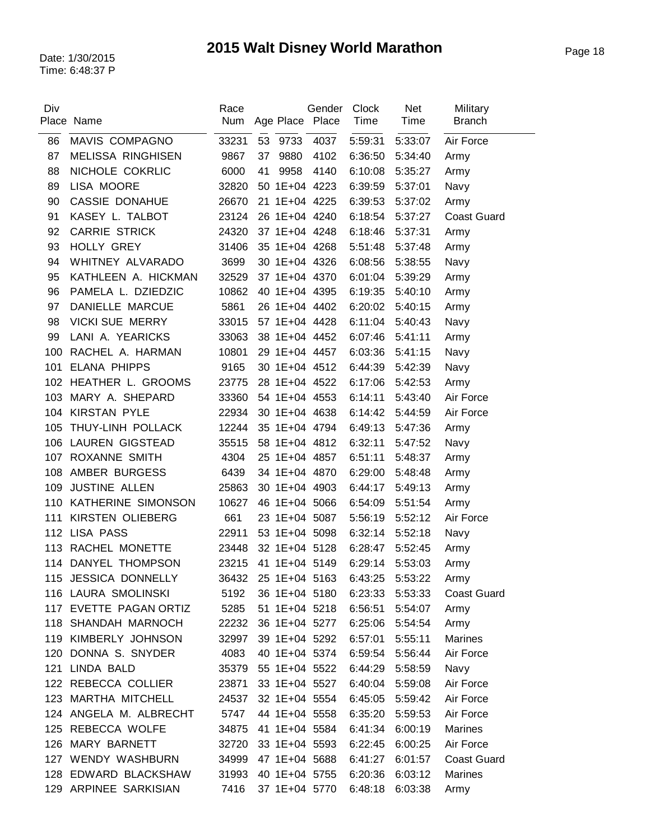| Div | Place Name               | Race<br>Num    |    | Gender<br>Age Place Place | <b>Clock</b><br>Time | <b>Net</b><br>Time | Military<br><b>Branch</b> |
|-----|--------------------------|----------------|----|---------------------------|----------------------|--------------------|---------------------------|
| 86  | MAVIS COMPAGNO           | 33231          | 53 | 9733<br>4037              | 5:59:31              | 5:33:07            | Air Force                 |
| 87  | <b>MELISSA RINGHISEN</b> | 9867           | 37 | 9880<br>4102              | 6:36:50              | 5:34:40            | Army                      |
| 88  | NICHOLE COKRLIC          | 6000           | 41 | 9958<br>4140              | 6:10:08              | 5:35:27            | Army                      |
| 89  | LISA MOORE               | 32820          |    | 50 1E+04 4223             | 6:39:59              | 5:37:01            | Navy                      |
| 90  | <b>CASSIE DONAHUE</b>    | 26670          |    | 21 1E+04 4225             | 6:39:53              | 5:37:02            | Army                      |
| 91  | KASEY L. TALBOT          | 23124          |    | 26 1E+04 4240             | 6:18:54              | 5:37:27            | <b>Coast Guard</b>        |
| 92  | <b>CARRIE STRICK</b>     | 24320          |    | 37 1E+04 4248             | 6:18:46              | 5:37:31            | Army                      |
| 93  | HOLLY GREY               | 31406          |    | 35 1E+04 4268             | 5:51:48              | 5:37:48            | Army                      |
| 94  | WHITNEY ALVARADO         | 3699           |    | 30 1E+04 4326             | 6:08:56              | 5:38:55            | Navy                      |
| 95  | KATHLEEN A. HICKMAN      | 32529          |    | 37 1E+04 4370             | 6:01:04              | 5:39:29            |                           |
| 96  | PAMELA L. DZIEDZIC       | 10862          |    | 40 1E+04 4395             | 6:19:35              | 5:40:10            | Army                      |
| 97  | DANIELLE MARCUE          | 5861           |    | 26 1E+04 4402             | 6:20:02              | 5:40:15            | Army<br>Army              |
| 98  | <b>VICKI SUE MERRY</b>   | 33015          |    | 57 1E+04 4428             | 6:11:04              | 5:40:43            |                           |
| 99  | LANI A. YEARICKS         | 33063          |    | 38 1E+04 4452             | 6:07:46              | 5:41:11            | Navy                      |
| 100 | RACHEL A. HARMAN         |                |    | 29 1E+04 4457             |                      |                    | Army                      |
| 101 | <b>ELANA PHIPPS</b>      | 10801<br>9165  |    | 30 1E+04 4512             | 6:03:36<br>6:44:39   | 5:41:15            | Navy                      |
|     | 102 HEATHER L. GROOMS    |                |    | 28 1E+04 4522             |                      | 5:42:39            | Navy                      |
|     | MARY A. SHEPARD          | 23775<br>33360 |    | 54 1E+04 4553             | 6:17:06              | 5:42:53            | Army                      |
| 103 |                          |                |    |                           | 6:14:11              | 5:43:40            | Air Force                 |
| 104 | <b>KIRSTAN PYLE</b>      | 22934          |    | 30 1E+04 4638             | 6:14:42              | 5:44:59            | Air Force                 |
| 105 | THUY-LINH POLLACK        | 12244          |    | 35 1E+04 4794             | 6:49:13              | 5:47:36            | Army                      |
| 106 | <b>LAUREN GIGSTEAD</b>   | 35515          |    | 58 1E+04 4812             | 6:32:11              | 5:47:52            | Navy                      |
|     | 107 ROXANNE SMITH        | 4304           |    | 25 1E+04 4857             | 6:51:11              | 5:48:37            | Army                      |
| 108 | AMBER BURGESS            | 6439           |    | 34 1E+04 4870             | 6:29:00              | 5:48:48            | Army                      |
| 109 | JUSTINE ALLEN            | 25863          |    | 30 1E+04 4903             | 6:44:17              | 5:49:13            | Army                      |
| 110 | KATHERINE SIMONSON       | 10627          |    | 46 1E+04 5066             | 6:54:09              | 5:51:54            | Army                      |
| 111 | KIRSTEN OLIEBERG         | 661            |    | 23 1E+04 5087             | 5:56:19              | 5:52:12            | Air Force                 |
|     | 112 LISA PASS            | 22911          |    | 53 1E+04 5098             | 6:32:14              | 5:52:18            | Navy                      |
| 113 | RACHEL MONETTE           | 23448          |    | 32 1E+04 5128             | 6:28:47              | 5:52:45            | Army                      |
| 114 | DANYEL THOMPSON          | 23215          |    | 41 1E+04 5149             | 6:29:14              | 5:53:03            | Army                      |
|     | 115 JESSICA DONNELLY     | 36432          |    | 25 1E+04 5163             | 6:43:25 5:53:22      |                    | Army                      |
|     | 116 LAURA SMOLINSKI      | 5192           |    | 36 1E+04 5180             | 6:23:33 5:53:33      |                    | <b>Coast Guard</b>        |
|     | 117 EVETTE PAGAN ORTIZ   | 5285           |    | 51 1E+04 5218             | 6:56:51              | 5:54:07            | Army                      |
|     | 118 SHANDAH MARNOCH      | 22232          |    | 36 1E+04 5277             | 6:25:06 5:54:54      |                    | Army                      |
|     | 119 KIMBERLY JOHNSON     | 32997          |    | 39 1E+04 5292             | 6:57:01              | 5:55:11            | Marines                   |
|     | 120 DONNA S. SNYDER      | 4083           |    | 40 1E+04 5374             | 6:59:54              | 5:56:44            | Air Force                 |
|     | 121 LINDA BALD           |                |    | 35379 55 1E+04 5522       | 6:44:29 5:58:59      |                    | Navy                      |
|     | 122 REBECCA COLLIER      | 23871          |    | 33 1E+04 5527             | 6:40:04              | 5:59:08            | Air Force                 |
|     | 123 MARTHA MITCHELL      | 24537          |    | 32 1E+04 5554             | 6:45:05              | 5:59:42            | Air Force                 |
|     | 124 ANGELA M. ALBRECHT   | 5747           |    | 44 1E+04 5558             | 6:35:20              | 5:59:53            | Air Force                 |
|     | 125 REBECCA WOLFE        | 34875          |    | 41 1E+04 5584             | 6:41:34              | 6:00:19            | Marines                   |
|     | 126 MARY BARNETT         | 32720          |    | 33 1E+04 5593             | 6:22:45 6:00:25      |                    | Air Force                 |
|     | 127 WENDY WASHBURN       | 34999          |    | 47 1E+04 5688             | 6:41:27              | 6:01:57            | <b>Coast Guard</b>        |
|     | 128 EDWARD BLACKSHAW     | 31993          |    | 40 1E+04 5755             | 6:20:36              | 6:03:12            | Marines                   |
|     | 129 ARPINEE SARKISIAN    | 7416           |    | 37 1E+04 5770             | 6:48:18              | 6:03:38            | Army                      |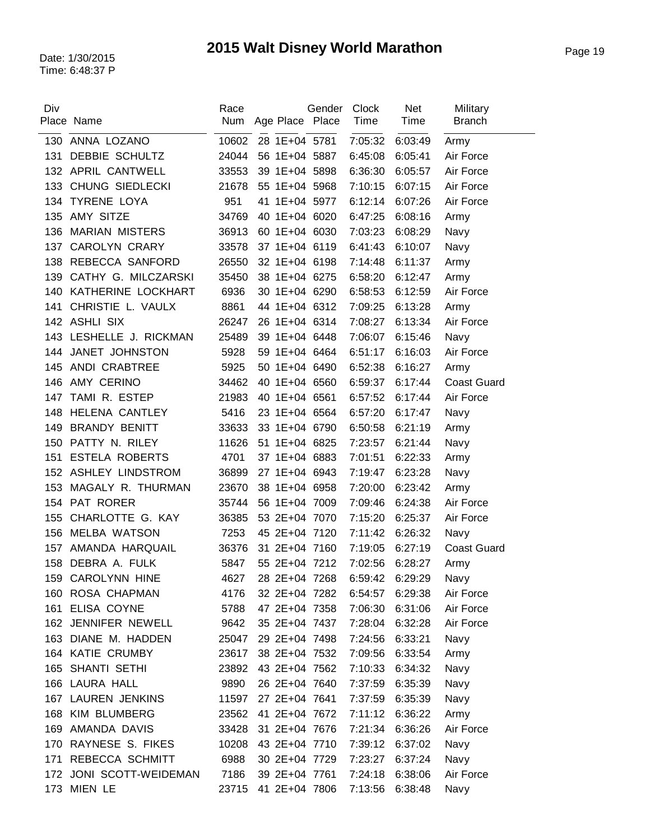| Div |                         | Race  |                     | Gender | <b>Clock</b>    | Net             | Military           |
|-----|-------------------------|-------|---------------------|--------|-----------------|-----------------|--------------------|
|     | Place Name              | Num   | Age Place Place     |        | Time            | Time            | <b>Branch</b>      |
| 130 | ANNA LOZANO             | 10602 | 28 1E+04 5781       |        | 7:05:32         | 6:03:49         | Army               |
| 131 | DEBBIE SCHULTZ          | 24044 | 56 1E+04 5887       |        | 6:45:08         | 6:05:41         | Air Force          |
|     | 132 APRIL CANTWELL      | 33553 | 39 1E+04 5898       |        | 6:36:30         | 6:05:57         | Air Force          |
| 133 | CHUNG SIEDLECKI         | 21678 | 55 1E+04 5968       |        | 7:10:15         | 6:07:15         | Air Force          |
| 134 | <b>TYRENE LOYA</b>      | 951   | 41 1E+04 5977       |        | 6:12:14         | 6:07:26         | Air Force          |
| 135 | AMY SITZE               | 34769 | 40 1E+04 6020       |        | 6:47:25         | 6:08:16         | Army               |
| 136 | <b>MARIAN MISTERS</b>   | 36913 | 60 1E+04 6030       |        | 7:03:23         | 6:08:29         | Navy               |
| 137 | <b>CAROLYN CRARY</b>    | 33578 | 37 1E+04 6119       |        | 6:41:43         | 6:10:07         | Navy               |
| 138 | REBECCA SANFORD         | 26550 | 32 1E+04 6198       |        | 7:14:48         | 6:11:37         | Army               |
| 139 | CATHY G. MILCZARSKI     | 35450 | 38 1E+04 6275       |        | 6:58:20         | 6:12:47         | Army               |
|     | 140 KATHERINE LOCKHART  | 6936  | 30 1E+04 6290       |        | 6:58:53         | 6:12:59         | Air Force          |
| 141 | CHRISTIE L. VAULX       | 8861  | 44 1E+04 6312       |        | 7:09:25         | 6:13:28         | Army               |
|     | 142 ASHLI SIX           | 26247 | 26 1E+04 6314       |        | 7:08:27         | 6:13:34         | Air Force          |
|     | 143 LESHELLE J. RICKMAN | 25489 | 39 1E+04 6448       |        | 7:06:07         | 6:15:46         | Navy               |
| 144 | JANET JOHNSTON          | 5928  | 59 1E+04 6464       |        | 6:51:17         | 6:16:03         | Air Force          |
| 145 | ANDI CRABTREE           | 5925  | 50 1E+04 6490       |        | 6:52:38         | 6:16:27         | Army               |
| 146 | AMY CERINO              | 34462 | 40 1E+04 6560       |        | 6:59:37         | 6:17:44         | <b>Coast Guard</b> |
| 147 | TAMI R. ESTEP           | 21983 | 40 1E+04 6561       |        | 6:57:52         | 6:17:44         | Air Force          |
| 148 | HELENA CANTLEY          | 5416  | 23 1E+04 6564       |        | 6:57:20         | 6:17:47         | Navy               |
| 149 | <b>BRANDY BENITT</b>    | 33633 | 33 1E+04 6790       |        | 6:50:58         | 6:21:19         | Army               |
| 150 | PATTY N. RILEY          | 11626 | 51 1E+04 6825       |        | 7:23:57         | 6:21:44         | Navy               |
| 151 | <b>ESTELA ROBERTS</b>   | 4701  | 37 1E+04 6883       |        | 7:01:51         | 6:22:33         | Army               |
|     | 152 ASHLEY LINDSTROM    | 36899 | 27 1E+04 6943       |        | 7:19:47         | 6:23:28         | Navy               |
| 153 | MAGALY R. THURMAN       | 23670 | 38 1E+04 6958       |        | 7:20:00         | 6:23:42         | Army               |
|     | 154 PAT RORER           | 35744 | 56 1E+04 7009       |        | 7:09:46         | 6:24:38         | Air Force          |
| 155 | CHARLOTTE G. KAY        | 36385 | 53 2E+04 7070       |        | 7:15:20         | 6:25:37         | Air Force          |
| 156 | <b>MELBA WATSON</b>     | 7253  | 45 2E+04 7120       |        | 7:11:42         | 6:26:32         | Navy               |
| 157 | AMANDA HARQUAIL         | 36376 | 31 2E+04 7160       |        | 7:19:05         | 6:27:19         | <b>Coast Guard</b> |
| 158 | DEBRA A. FULK           | 5847  | 55 2E+04 7212       |        | 7:02:56         | 6:28:27         | Army               |
|     | 159 CAROLYNN HINE       | 4627  | 28 2E+04 7268       |        | 6:59:42         | 6:29:29         | Navy               |
|     | 160 ROSA CHAPMAN        | 4176  | 32 2E+04 7282       |        | 6:54:57 6:29:38 |                 | Air Force          |
|     | 161 ELISA COYNE         | 5788  | 47 2E+04 7358       |        | 7:06:30         | 6:31:06         | Air Force          |
|     | 162 JENNIFER NEWELL     | 9642  | 35 2E+04 7437       |        | 7:28:04         | 6:32:28         | Air Force          |
|     | 163 DIANE M. HADDEN     | 25047 | 29 2E+04 7498       |        | 7:24:56         | 6:33:21         | Navy               |
|     | 164 KATIE CRUMBY        | 23617 | 38 2E+04 7532       |        | 7:09:56         | 6:33:54         | Army               |
|     | 165 SHANTI SETHI        |       | 23892 43 2E+04 7562 |        |                 | 7:10:33 6:34:32 | Navy               |
|     | 166 LAURA HALL          | 9890  | 26 2E+04 7640       |        | 7:37:59         | 6:35:39         | Navy               |
|     | 167 LAUREN JENKINS      | 11597 | 27 2E+04 7641       |        | 7:37:59         | 6:35:39         | Navy               |
|     | 168 KIM BLUMBERG        | 23562 | 41 2E+04 7672       |        | 7:11:12         | 6:36:22         | Army               |
|     | 169 AMANDA DAVIS        | 33428 | 31 2E+04 7676       |        | 7:21:34         | 6:36:26         | Air Force          |
|     | 170 RAYNESE S. FIKES    | 10208 | 43 2E+04 7710       |        | 7:39:12 6:37:02 |                 | Navy               |
|     | 171 REBECCA SCHMITT     | 6988  | 30 2E+04 7729       |        | 7:23:27         | 6:37:24         | Navy               |
|     | 172 JONI SCOTT-WEIDEMAN | 7186  | 39 2E+04 7761       |        | 7:24:18         | 6:38:06         | Air Force          |
|     | 173 MIEN LE             |       | 23715 41 2E+04 7806 |        | 7:13:56 6:38:48 |                 | Navy               |
|     |                         |       |                     |        |                 |                 |                    |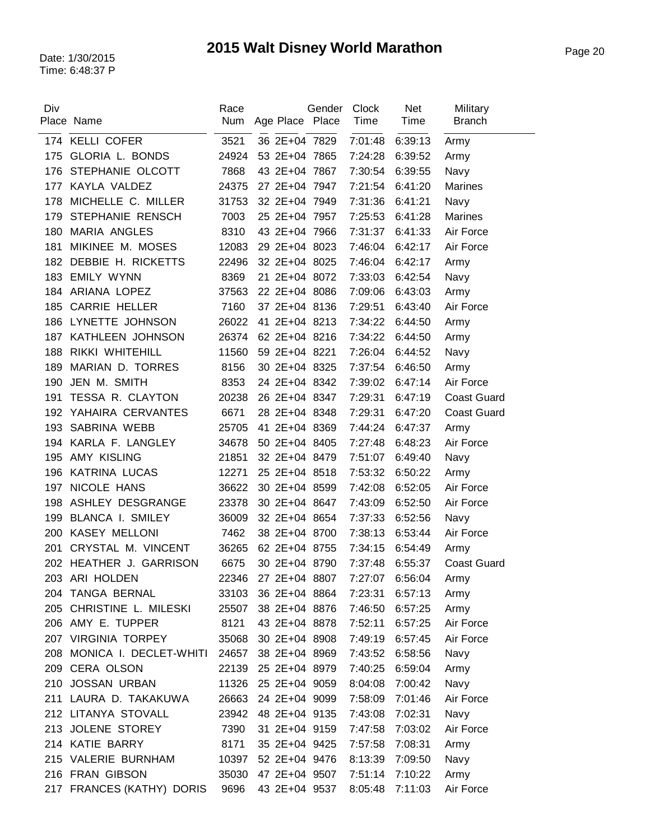| Div | Place Name                   | Race  |                 | Gender | Clock<br>Time | <b>Net</b>      | Military           |
|-----|------------------------------|-------|-----------------|--------|---------------|-----------------|--------------------|
|     |                              | Num   | Age Place Place |        |               | Time            | <b>Branch</b>      |
|     | 174 KELLI COFER              | 3521  | 36 2E+04 7829   |        | 7:01:48       | 6:39:13         | Army               |
| 175 | GLORIA L. BONDS              | 24924 | 53 2E+04 7865   |        | 7:24:28       | 6:39:52         | Army               |
| 176 | STEPHANIE OLCOTT             | 7868  | 43 2E+04 7867   |        | 7:30:54       | 6:39:55         | Navy               |
| 177 | KAYLA VALDEZ                 | 24375 | 27 2E+04 7947   |        | 7:21:54       | 6:41:20         | <b>Marines</b>     |
| 178 | MICHELLE C. MILLER           | 31753 | 32 2E+04 7949   |        | 7:31:36       | 6:41:21         | Navy               |
| 179 | STEPHANIE RENSCH             | 7003  | 25 2E+04 7957   |        | 7:25:53       | 6:41:28         | <b>Marines</b>     |
| 180 | <b>MARIA ANGLES</b>          | 8310  | 43 2E+04 7966   |        | 7:31:37       | 6:41:33         | Air Force          |
| 181 | MIKINEE M. MOSES             | 12083 | 29 2E+04 8023   |        | 7:46:04       | 6:42:17         | Air Force          |
| 182 | DEBBIE H. RICKETTS           | 22496 | 32 2E+04 8025   |        | 7:46:04       | 6:42:17         | Army               |
| 183 | <b>EMILY WYNN</b>            | 8369  | 21 2E+04 8072   |        | 7:33:03       | 6:42:54         | Navy               |
| 184 | ARIANA LOPEZ                 | 37563 | 22 2E+04 8086   |        | 7:09:06       | 6:43:03         | Army               |
| 185 | <b>CARRIE HELLER</b>         | 7160  | 37 2E+04 8136   |        | 7:29:51       | 6:43:40         | Air Force          |
| 186 | LYNETTE JOHNSON              | 26022 | 41 2E+04 8213   |        | 7:34:22       | 6:44:50         | Army               |
| 187 | KATHLEEN JOHNSON             | 26374 | 62 2E+04 8216   |        | 7:34:22       | 6:44:50         | Army               |
| 188 | RIKKI WHITEHILL              | 11560 | 59 2E+04 8221   |        | 7:26:04       | 6:44:52         | Navy               |
| 189 | MARIAN D. TORRES             | 8156  | 30 2E+04 8325   |        | 7:37:54       | 6:46:50         | Army               |
| 190 | JEN M. SMITH                 | 8353  | 24 2E+04 8342   |        | 7:39:02       | 6:47:14         | Air Force          |
| 191 | TESSA R. CLAYTON             | 20238 | 26 2E+04 8347   |        | 7:29:31       | 6:47:19         | <b>Coast Guard</b> |
|     | 192 YAHAIRA CERVANTES        | 6671  | 28 2E+04 8348   |        | 7:29:31       | 6:47:20         | <b>Coast Guard</b> |
| 193 | SABRINA WEBB                 | 25705 | 41 2E+04 8369   |        | 7:44:24       | 6:47:37         | Army               |
|     | 194 KARLA F. LANGLEY         | 34678 | 50 2E+04 8405   |        | 7:27:48       | 6:48:23         | Air Force          |
| 195 | AMY KISLING                  | 21851 | 32 2E+04 8479   |        | 7:51:07       | 6:49:40         | Navy               |
| 196 | <b>KATRINA LUCAS</b>         | 12271 | 25 2E+04 8518   |        | 7:53:32       | 6:50:22         | Army               |
| 197 | NICOLE HANS                  | 36622 | 30 2E+04 8599   |        | 7:42:08       | 6:52:05         | Air Force          |
| 198 | ASHLEY DESGRANGE             | 23378 | 30 2E+04 8647   |        | 7:43:09       | 6:52:50         | Air Force          |
| 199 | BLANCA I. SMILEY             | 36009 | 32 2E+04 8654   |        | 7:37:33       | 6:52:56         | Navy               |
| 200 | <b>KASEY MELLONI</b>         | 7462  | 38 2E+04 8700   |        | 7:38:13       | 6:53:44         | Air Force          |
| 201 | CRYSTAL M. VINCENT           | 36265 | 62 2E+04 8755   |        | 7:34:15       | 6:54:49         | Army               |
|     | 202 HEATHER J. GARRISON      | 6675  | 30 2E+04 8790   |        | 7:37:48       | 6:55:37         | <b>Coast Guard</b> |
|     | 203 ARI HOLDEN               | 22346 | 27 2E+04 8807   |        |               | 7:27:07 6:56:04 | Army               |
|     | 204 TANGA BERNAL             | 33103 | 36 2E+04 8864   |        | 7:23:31       | 6:57:13         | Army               |
|     | 205 CHRISTINE L. MILESKI     | 25507 | 38 2E+04 8876   |        | 7:46:50       | 6:57:25         | Army               |
|     | 206 AMY E. TUPPER            | 8121  | 43 2E+04 8878   |        | 7:52:11       | 6:57:25         | Air Force          |
|     | 207 VIRGINIA TORPEY          | 35068 | 30 2E+04 8908   |        | 7:49:19       | 6:57:45         | Air Force          |
| 208 | MONICA I. DECLET-WHITI 24657 |       | 38 2E+04 8969   |        | 7:43:52       | 6:58:56         | Navy               |
| 209 | <b>CERA OLSON</b>            | 22139 | 25 2E+04 8979   |        | 7:40:25       | 6:59:04         | Army               |
| 210 | <b>JOSSAN URBAN</b>          | 11326 | 25 2E+04 9059   |        | 8:04:08       | 7:00:42         | Navy               |
|     | 211 LAURA D. TAKAKUWA        | 26663 | 24 2E+04 9099   |        | 7:58:09       | 7:01:46         | Air Force          |
|     | 212 LITANYA STOVALL          | 23942 | 48 2E+04 9135   |        | 7:43:08       | 7:02:31         | Navy               |
|     | 213 JOLENE STOREY            | 7390  | 31 2E+04 9159   |        | 7:47:58       | 7:03:02         | Air Force          |
|     | 214 KATIE BARRY              | 8171  | 35 2E+04 9425   |        | 7:57:58       | 7:08:31         | Army               |
|     | 215 VALERIE BURNHAM          | 10397 | 52 2E+04 9476   |        | 8:13:39       | 7:09:50         | Navy               |
|     | 216 FRAN GIBSON              | 35030 | 47 2E+04 9507   |        | 7:51:14       | 7:10:22         | Army               |
|     | 217 FRANCES (KATHY) DORIS    | 9696  | 43 2E+04 9537   |        | 8:05:48       | 7:11:03         | Air Force          |
|     |                              |       |                 |        |               |                 |                    |